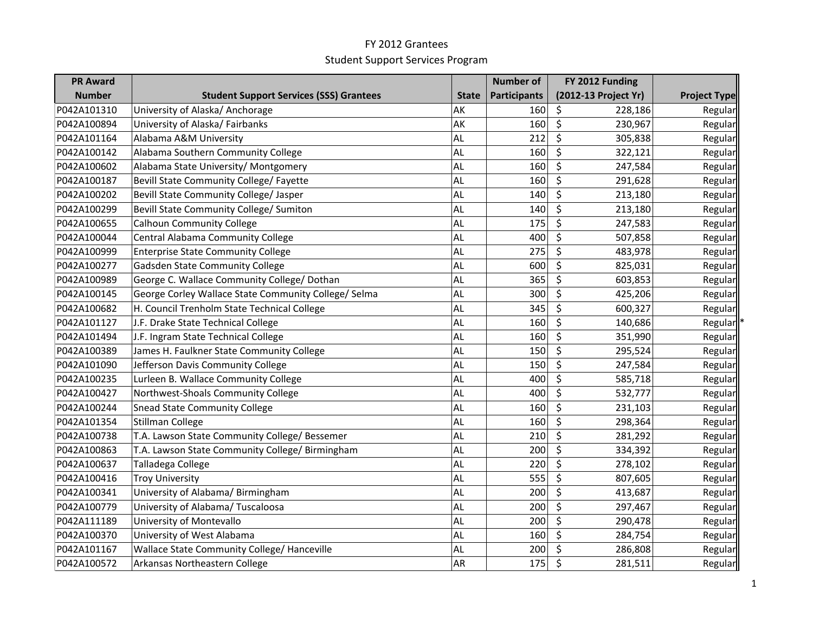| <b>PR Award</b> |                                                      |              | <b>Number of</b>    | FY 2012 Funding      |                     |
|-----------------|------------------------------------------------------|--------------|---------------------|----------------------|---------------------|
| <b>Number</b>   | <b>Student Support Services (SSS) Grantees</b>       | <b>State</b> | <b>Participants</b> | (2012-13 Project Yr) | <b>Project Type</b> |
| P042A101310     | University of Alaska/ Anchorage                      | AK           | 160                 | \$<br>228,186        | Regular             |
| P042A100894     | University of Alaska/Fairbanks                       | AK           | 160                 | \$<br>230,967        | Regular             |
| P042A101164     | Alabama A&M University                               | AL           | 212                 | \$<br>305,838        | Regular             |
| P042A100142     | Alabama Southern Community College                   | AL           | 160                 | \$<br>322,121        | Regular             |
| P042A100602     | Alabama State University/ Montgomery                 | AL           | 160                 | \$<br>247,584        | Regular             |
| P042A100187     | Bevill State Community College/ Fayette              | AL           | 160                 | \$<br>291,628        | Regular             |
| P042A100202     | Bevill State Community College/ Jasper               | AL           | 140                 | \$<br>213,180        | Regular             |
| P042A100299     | Bevill State Community College/ Sumiton              | AL           | 140                 | \$<br>213,180        | Regular             |
| P042A100655     | <b>Calhoun Community College</b>                     | AL           | 175                 | \$<br>247,583        | Regular             |
| P042A100044     | Central Alabama Community College                    | AL           | 400                 | \$<br>507,858        | Regular             |
| P042A100999     | <b>Enterprise State Community College</b>            | AL           | 275                 | \$<br>483,978        | Regular             |
| P042A100277     | Gadsden State Community College                      | AL           | 600                 | \$<br>825,031        | Regular             |
| P042A100989     | George C. Wallace Community College/ Dothan          | AL           | 365                 | \$<br>603,853        | Regular             |
| P042A100145     | George Corley Wallace State Community College/ Selma | AL           | 300                 | \$<br>425,206        | Regular             |
| P042A100682     | H. Council Trenholm State Technical College          | AL           | 345                 | \$<br>600,327        | Regular             |
| P042A101127     | J.F. Drake State Technical College                   | AL           | 160                 | \$<br>140,686        | Regular             |
| P042A101494     | J.F. Ingram State Technical College                  | AL           | 160                 | \$<br>351,990        | Regular             |
| P042A100389     | James H. Faulkner State Community College            | AL           | 150                 | \$<br>295,524        | Regular             |
| P042A101090     | Jefferson Davis Community College                    | AL           | 150                 | \$<br>247,584        | Regular             |
| P042A100235     | Lurleen B. Wallace Community College                 | AL           | 400                 | \$<br>585,718        | Regular             |
| P042A100427     | Northwest-Shoals Community College                   | AL           | 400                 | \$<br>532,777        | Regular             |
| P042A100244     | <b>Snead State Community College</b>                 | AL           | 160                 | \$<br>231,103        | Regular             |
| P042A101354     | Stillman College                                     | AL           | 160                 | \$<br>298,364        | Regular             |
| P042A100738     | T.A. Lawson State Community College/ Bessemer        | AL           | 210                 | \$<br>281,292        | Regular             |
| P042A100863     | T.A. Lawson State Community College/ Birmingham      | AL           | 200                 | \$<br>334,392        | Regular             |
| P042A100637     | Talladega College                                    | AL           | 220                 | \$<br>278,102        | Regular             |
| P042A100416     | <b>Troy University</b>                               | AL           | 555                 | \$<br>807,605        | Regular             |
| P042A100341     | University of Alabama/ Birmingham                    | AL           | 200                 | \$<br>413,687        | Regular             |
| P042A100779     | University of Alabama/Tuscaloosa                     | AL           | 200                 | \$<br>297,467        | Regular             |
| P042A111189     | University of Montevallo                             | AL           | 200                 | \$<br>290,478        | Regular             |
| P042A100370     | University of West Alabama                           | AL           | 160                 | \$<br>284,754        | Regular             |
| P042A101167     | Wallace State Community College/ Hanceville          | AL           | 200                 | \$<br>286,808        | Regular             |
| P042A100572     | Arkansas Northeastern College                        | <b>AR</b>    | 175                 | \$<br>281,511        | Regular             |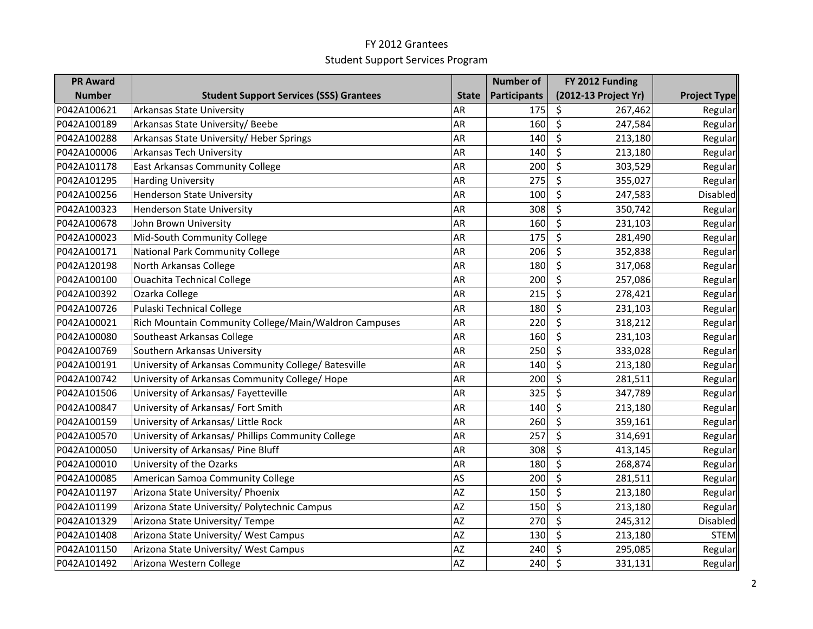| <b>PR Award</b> |                                                       |              | <b>Number of</b>    | FY 2012 Funding      |                     |
|-----------------|-------------------------------------------------------|--------------|---------------------|----------------------|---------------------|
| <b>Number</b>   | <b>Student Support Services (SSS) Grantees</b>        | <b>State</b> | <b>Participants</b> | (2012-13 Project Yr) | <b>Project Type</b> |
| P042A100621     | Arkansas State University                             | AR           | 175                 | \$<br>267,462        | Regular             |
| P042A100189     | Arkansas State University/ Beebe                      | AR           | 160                 | $\zeta$<br>247,584   | Regular             |
| P042A100288     | Arkansas State University/ Heber Springs              | AR           | 140                 | \$<br>213,180        | Regular             |
| P042A100006     | Arkansas Tech University                              | AR           | 140                 | \$<br>213,180        | Regular             |
| P042A101178     | <b>East Arkansas Community College</b>                | AR           | 200                 | \$<br>303,529        | Regular             |
| P042A101295     | <b>Harding University</b>                             | AR           | 275                 | \$<br>355,027        | Regular             |
| P042A100256     | <b>Henderson State University</b>                     | AR           | 100                 | \$<br>247,583        | Disabled            |
| P042A100323     | <b>Henderson State University</b>                     | AR           | 308                 | \$<br>350,742        | Regular             |
| P042A100678     | John Brown University                                 | AR           | 160                 | \$<br>231,103        | Regular             |
| P042A100023     | Mid-South Community College                           | AR           | 175                 | \$<br>281,490        | Regular             |
| P042A100171     | National Park Community College                       | AR           | 206                 | \$<br>352,838        | Regular             |
| P042A120198     | North Arkansas College                                | AR           | 180                 | \$<br>317,068        | Regular             |
| P042A100100     | <b>Ouachita Technical College</b>                     | AR           | 200                 | \$<br>257,086        | Regular             |
| P042A100392     | Ozarka College                                        | AR           | 215                 | \$<br>278,421        | Regular             |
| P042A100726     | Pulaski Technical College                             | AR           | 180                 | \$<br>231,103        | Regular             |
| P042A100021     | Rich Mountain Community College/Main/Waldron Campuses | AR           | 220                 | \$<br>318,212        | Regular             |
| P042A100080     | Southeast Arkansas College                            | AR           | 160                 | $\zeta$<br>231,103   | Regular             |
| P042A100769     | Southern Arkansas University                          | AR           | 250                 | \$<br>333,028        | Regular             |
| P042A100191     | University of Arkansas Community College/ Batesville  | AR           | 140                 | \$<br>213,180        | Regular             |
| P042A100742     | University of Arkansas Community College/ Hope        | AR           | 200                 | \$<br>281,511        | Regular             |
| P042A101506     | University of Arkansas/ Fayetteville                  | AR           | 325                 | \$<br>347,789        | Regular             |
| P042A100847     | University of Arkansas/ Fort Smith                    | AR           | 140                 | \$<br>213,180        | Regular             |
| P042A100159     | University of Arkansas/ Little Rock                   | AR           | 260                 | \$<br>359,161        | Regular             |
| P042A100570     | University of Arkansas/ Phillips Community College    | AR           | 257                 | \$<br>314,691        | Regular             |
| P042A100050     | University of Arkansas/ Pine Bluff                    | AR           | 308                 | \$<br>413,145        | Regular             |
| P042A100010     | University of the Ozarks                              | AR           | 180                 | \$<br>268,874        | Regular             |
| P042A100085     | American Samoa Community College                      | AS           | 200                 | \$<br>281,511        | Regular             |
| P042A101197     | Arizona State University/ Phoenix                     | <b>AZ</b>    | 150                 | \$<br>213,180        | Regular             |
| P042A101199     | Arizona State University/ Polytechnic Campus          | <b>AZ</b>    | 150                 | \$<br>213,180        | Regular             |
| P042A101329     | Arizona State University/ Tempe                       | <b>AZ</b>    | 270                 | \$<br>245,312        | Disabled            |
| P042A101408     | Arizona State University/ West Campus                 | <b>AZ</b>    | 130                 | \$<br>213,180        | <b>STEM</b>         |
| P042A101150     | Arizona State University/ West Campus                 | <b>AZ</b>    | 240                 | $\zeta$<br>295,085   | Regular             |
| P042A101492     | Arizona Western College                               | AZ           | 240                 | \$<br>331,131        | Regular             |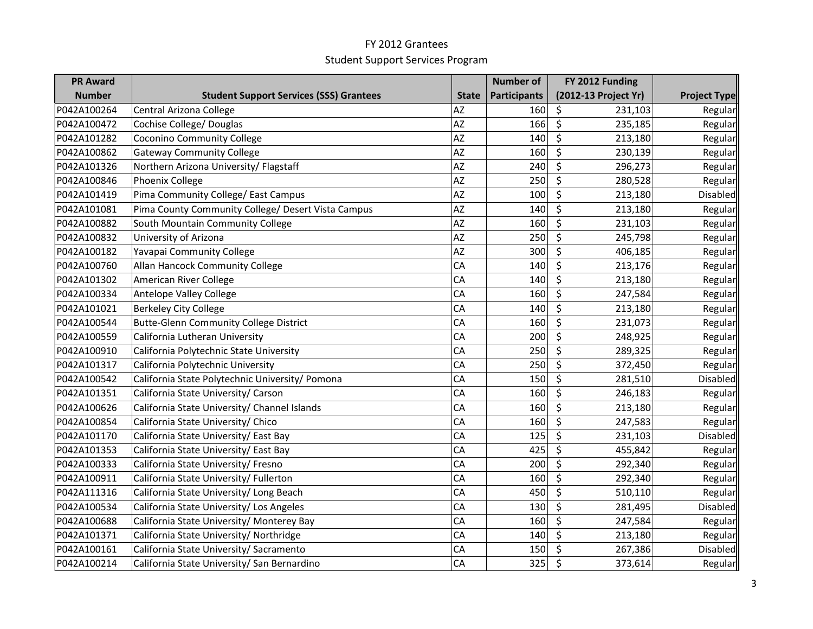| <b>PR Award</b> |                                                    |              | <b>Number of</b>    | FY 2012 Funding             |                     |
|-----------------|----------------------------------------------------|--------------|---------------------|-----------------------------|---------------------|
| <b>Number</b>   | <b>Student Support Services (SSS) Grantees</b>     | <b>State</b> | <b>Participants</b> | (2012-13 Project Yr)        | <b>Project Type</b> |
| P042A100264     | Central Arizona College                            | <b>AZ</b>    | 160                 | \$<br>231,103               | Regular             |
| P042A100472     | Cochise College/ Douglas                           | <b>AZ</b>    | 166                 | $\zeta$<br>235,185          | Regular             |
| P042A101282     | <b>Coconino Community College</b>                  | AZ           | 140                 | \$<br>213,180               | Regular             |
| P042A100862     | <b>Gateway Community College</b>                   | AZ           | 160                 | \$<br>230,139               | Regular             |
| P042A101326     | Northern Arizona University/ Flagstaff             | <b>AZ</b>    | 240                 | \$<br>296,273               | Regular             |
| P042A100846     | Phoenix College                                    | AZ           | 250                 | \$<br>280,528               | Regular             |
| P042A101419     | Pima Community College/ East Campus                | AZ           | 100                 | $\overline{\xi}$<br>213,180 | <b>Disabled</b>     |
| P042A101081     | Pima County Community College/ Desert Vista Campus | <b>AZ</b>    | 140                 | \$<br>213,180               | Regular             |
| P042A100882     | South Mountain Community College                   | <b>AZ</b>    | 160                 | \$<br>231,103               | Regular             |
| P042A100832     | University of Arizona                              | <b>AZ</b>    | 250                 | \$<br>245,798               | Regular             |
| P042A100182     | Yavapai Community College                          | <b>AZ</b>    | 300                 | \$<br>406,185               | Regular             |
| P042A100760     | Allan Hancock Community College                    | CA           | 140                 | \$<br>213,176               | Regular             |
| P042A101302     | American River College                             | CA           | 140                 | \$<br>213,180               | Regular             |
| P042A100334     | <b>Antelope Valley College</b>                     | CA           | 160                 | \$<br>247,584               | Regular             |
| P042A101021     | <b>Berkeley City College</b>                       | CA           | 140                 | \$<br>213,180               | Regular             |
| P042A100544     | <b>Butte-Glenn Community College District</b>      | CA           | 160                 | \$<br>231,073               | Regular             |
| P042A100559     | California Lutheran University                     | CA           | 200                 | \$<br>248,925               | Regular             |
| P042A100910     | California Polytechnic State University            | CA           | 250                 | \$<br>289,325               | Regular             |
| P042A101317     | California Polytechnic University                  | CA           | 250                 | \$<br>372,450               | Regular             |
| P042A100542     | California State Polytechnic University/ Pomona    | CA           | 150                 | \$<br>281,510               | <b>Disabled</b>     |
| P042A101351     | California State University/ Carson                | CA           | 160                 | \$<br>246,183               | Regular             |
| P042A100626     | California State University/ Channel Islands       | CA           | 160                 | \$<br>213,180               | Regular             |
| P042A100854     | California State University/ Chico                 | CA           | 160                 | \$<br>247,583               | Regular             |
| P042A101170     | California State University/ East Bay              | CA           | 125                 | \$<br>231,103               | Disabled            |
| P042A101353     | California State University/ East Bay              | CA           | 425                 | \$<br>455,842               | Regular             |
| P042A100333     | California State University/ Fresno                | CA           | 200                 | \$<br>292,340               | Regular             |
| P042A100911     | California State University/ Fullerton             | CA           | 160                 | \$<br>292,340               | Regular             |
| P042A111316     | California State University/ Long Beach            | CA           | 450                 | \$<br>510,110               | Regular             |
| P042A100534     | California State University/ Los Angeles           | CA           | 130                 | \$<br>281,495               | <b>Disabled</b>     |
| P042A100688     | California State University/ Monterey Bay          | CA           | 160                 | \$<br>247,584               | Regular             |
| P042A101371     | California State University/ Northridge            | CA           | 140                 | \$<br>213,180               | Regular             |
| P042A100161     | California State University/ Sacramento            | CA           | 150                 | \$<br>267,386               | Disabled            |
| P042A100214     | California State University/ San Bernardino        | CA           | 325                 | $\zeta$<br>373,614          | Regular             |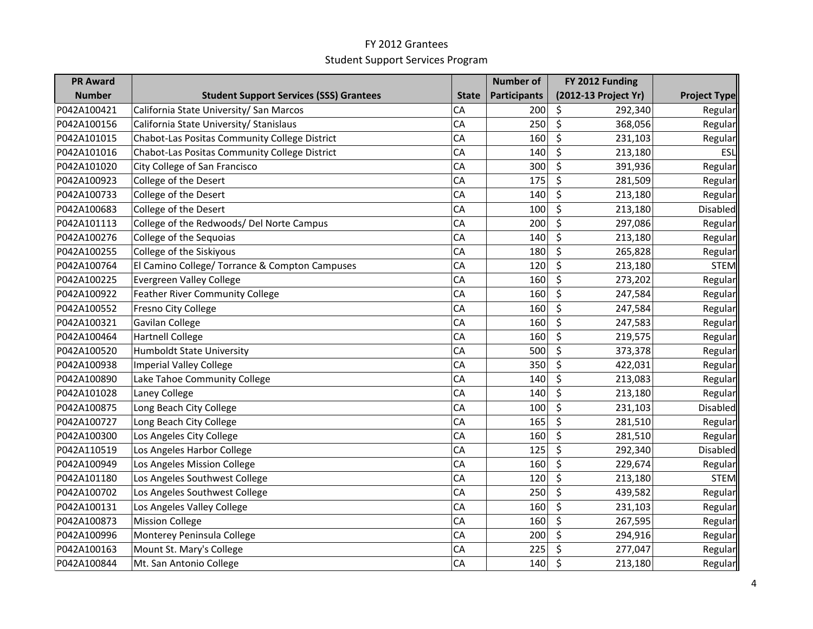| <b>PR Award</b> |                                                |              | <b>Number of</b>    | FY 2012 Funding      |                     |
|-----------------|------------------------------------------------|--------------|---------------------|----------------------|---------------------|
| <b>Number</b>   | <b>Student Support Services (SSS) Grantees</b> | <b>State</b> | <b>Participants</b> | (2012-13 Project Yr) | <b>Project Type</b> |
| P042A100421     | California State University/ San Marcos        | CA           | 200                 | \$<br>292,340        | Regular             |
| P042A100156     | California State University/ Stanislaus        | CA           | 250                 | $\zeta$<br>368,056   | Regular             |
| P042A101015     | Chabot-Las Positas Community College District  | CA           | 160                 | \$<br>231,103        | Regular             |
| P042A101016     | Chabot-Las Positas Community College District  | CA           | 140                 | \$<br>213,180        | ESL                 |
| P042A101020     | City College of San Francisco                  | CA           | 300                 | \$<br>391,936        | Regular             |
| P042A100923     | College of the Desert                          | CA           | 175                 | \$<br>281,509        | Regular             |
| P042A100733     | College of the Desert                          | CA           | 140                 | \$<br>213,180        | Regular             |
| P042A100683     | College of the Desert                          | CA           | 100                 | \$<br>213,180        | Disabled            |
| P042A101113     | College of the Redwoods/ Del Norte Campus      | CA           | 200                 | \$<br>297,086        | Regular             |
| P042A100276     | College of the Sequoias                        | CA           | 140                 | \$<br>213,180        | Regular             |
| P042A100255     | College of the Siskiyous                       | CA           | 180                 | \$<br>265,828        | Regular             |
| P042A100764     | El Camino College/ Torrance & Compton Campuses | CA           | 120                 | \$<br>213,180        | <b>STEM</b>         |
| P042A100225     | Evergreen Valley College                       | CA           | 160                 | \$<br>273,202        | Regular             |
| P042A100922     | Feather River Community College                | CA           | 160                 | \$<br>247,584        | Regular             |
| P042A100552     | Fresno City College                            | CA           | 160                 | \$<br>247,584        | Regular             |
| P042A100321     | Gavilan College                                | CA           | 160                 | \$<br>247,583        | Regular             |
| P042A100464     | <b>Hartnell College</b>                        | CA           | 160                 | \$<br>219,575        | Regular             |
| P042A100520     | <b>Humboldt State University</b>               | CA           | 500                 | \$<br>373,378        | Regular             |
| P042A100938     | <b>Imperial Valley College</b>                 | CA           | 350                 | \$<br>422,031        | Regular             |
| P042A100890     | Lake Tahoe Community College                   | CA           | 140                 | \$<br>213,083        | Regular             |
| P042A101028     | Laney College                                  | CA           | 140                 | \$<br>213,180        | Regular             |
| P042A100875     | Long Beach City College                        | CA           | 100                 | \$<br>231,103        | Disabled            |
| P042A100727     | Long Beach City College                        | CA           | 165                 | \$<br>281,510        | Regular             |
| P042A100300     | Los Angeles City College                       | CA           | 160                 | \$<br>281,510        | Regular             |
| P042A110519     | Los Angeles Harbor College                     | CA           | 125                 | \$<br>292,340        | Disabled            |
| P042A100949     | Los Angeles Mission College                    | CA           | 160                 | \$<br>229,674        | Regular             |
| P042A101180     | Los Angeles Southwest College                  | CA           | 120                 | \$<br>213,180        | <b>STEM</b>         |
| P042A100702     | Los Angeles Southwest College                  | CA           | 250                 | \$<br>439,582        | Regular             |
| P042A100131     | Los Angeles Valley College                     | CA           | 160                 | \$<br>231,103        | Regular             |
| P042A100873     | <b>Mission College</b>                         | CA           | 160                 | \$<br>267,595        | Regular             |
| P042A100996     | Monterey Peninsula College                     | CA           | 200                 | \$<br>294,916        | Regular             |
| P042A100163     | Mount St. Mary's College                       | CA           | 225                 | \$<br>277,047        | Regular             |
| P042A100844     | Mt. San Antonio College                        | CA           | 140                 | $\zeta$<br>213,180   | Regular             |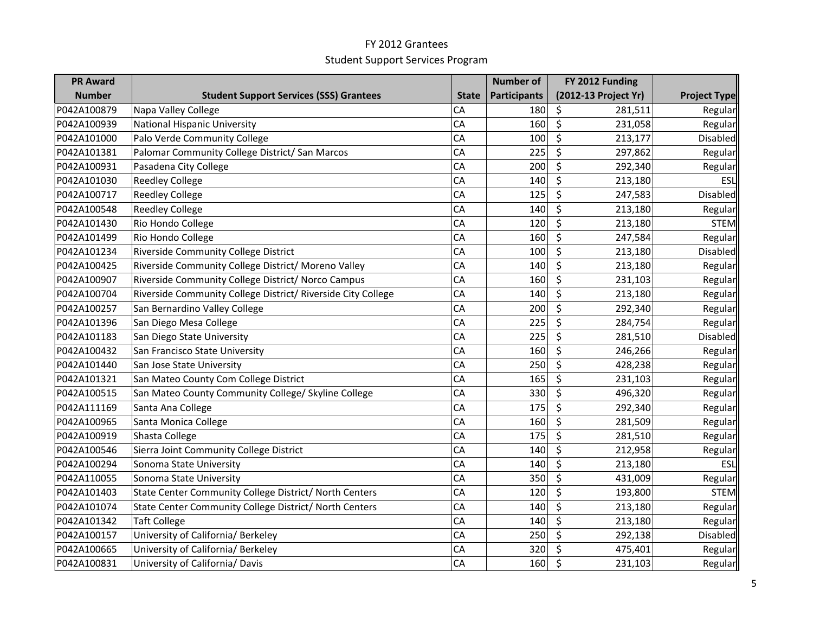| <b>PR Award</b> |                                                              |              | <b>Number of</b>    | FY 2012 Funding      |                     |
|-----------------|--------------------------------------------------------------|--------------|---------------------|----------------------|---------------------|
| <b>Number</b>   | <b>Student Support Services (SSS) Grantees</b>               | <b>State</b> | <b>Participants</b> | (2012-13 Project Yr) | <b>Project Type</b> |
| P042A100879     | Napa Valley College                                          | CA           | 180                 | \$<br>281,511        | Regular             |
| P042A100939     | <b>National Hispanic University</b>                          | CA           | 160                 | \$<br>231,058        | Regular             |
| P042A101000     | Palo Verde Community College                                 | CA           | 100                 | \$<br>213,177        | Disabled            |
| P042A101381     | Palomar Community College District/ San Marcos               | CA           | 225                 | \$<br>297,862        | Regular             |
| P042A100931     | Pasadena City College                                        | CA           | 200                 | \$<br>292,340        | Regular             |
| P042A101030     | <b>Reedley College</b>                                       | CA           | 140                 | \$<br>213,180        | ESL                 |
| P042A100717     | <b>Reedley College</b>                                       | CA           | 125                 | \$<br>247,583        | <b>Disabled</b>     |
| P042A100548     | <b>Reedley College</b>                                       | CA           | 140                 | \$<br>213,180        | Regular             |
| P042A101430     | Rio Hondo College                                            | CA           | 120                 | \$<br>213,180        | <b>STEM</b>         |
| P042A101499     | Rio Hondo College                                            | CA           | 160                 | \$<br>247,584        | Regular             |
| P042A101234     | Riverside Community College District                         | CA           | 100                 | \$<br>213,180        | <b>Disabled</b>     |
| P042A100425     | Riverside Community College District/ Moreno Valley          | CA           | 140                 | \$<br>213,180        | Regular             |
| P042A100907     | Riverside Community College District/ Norco Campus           | CA           | 160                 | \$<br>231,103        | Regular             |
| P042A100704     | Riverside Community College District/ Riverside City College | CA           | 140                 | \$<br>213,180        | Regular             |
| P042A100257     | San Bernardino Valley College                                | CA           | 200                 | \$<br>292,340        | Regular             |
| P042A101396     | San Diego Mesa College                                       | CA           | 225                 | \$<br>284,754        | Regular             |
| P042A101183     | San Diego State University                                   | CA           | 225                 | \$<br>281,510        | Disabled            |
| P042A100432     | San Francisco State University                               | CA           | 160                 | \$<br>246,266        | Regular             |
| P042A101440     | San Jose State University                                    | CA           | 250                 | \$<br>428,238        | Regular             |
| P042A101321     | San Mateo County Com College District                        | CA           | 165                 | \$<br>231,103        | Regular             |
| P042A100515     | San Mateo County Community College/ Skyline College          | CA           | 330                 | \$<br>496,320        | Regular             |
| P042A111169     | Santa Ana College                                            | CA           | 175                 | \$<br>292,340        | Regular             |
| P042A100965     | Santa Monica College                                         | CA           | 160                 | \$<br>281,509        | Regular             |
| P042A100919     | Shasta College                                               | CA           | 175                 | \$<br>281,510        | Regular             |
| P042A100546     | Sierra Joint Community College District                      | CA           | 140                 | \$<br>212,958        | Regular             |
| P042A100294     | Sonoma State University                                      | CA           | 140                 | \$<br>213,180        | ESL                 |
| P042A110055     | Sonoma State University                                      | CA           | 350                 | \$<br>431,009        | Regular             |
| P042A101403     | State Center Community College District/ North Centers       | CA           | 120                 | \$<br>193,800        | <b>STEM</b>         |
| P042A101074     | State Center Community College District/ North Centers       | CA           | 140                 | \$<br>213,180        | Regular             |
| P042A101342     | <b>Taft College</b>                                          | CA           | 140                 | \$<br>213,180        | Regular             |
| P042A100157     | University of California/ Berkeley                           | CA           | 250                 | \$<br>292,138        | Disabled            |
| P042A100665     | University of California/ Berkeley                           | CA           | 320                 | \$<br>475,401        | Regular             |
| P042A100831     | University of California/ Davis                              | CA           | 160                 | \$<br>231,103        | Regular             |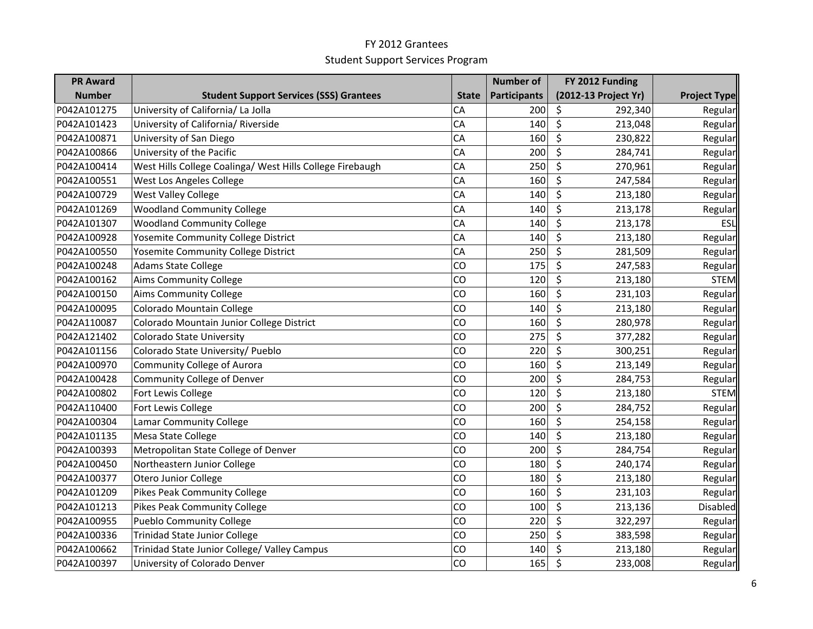| <b>PR Award</b> |                                                           |              | <b>Number of</b>    | FY 2012 Funding      |                     |
|-----------------|-----------------------------------------------------------|--------------|---------------------|----------------------|---------------------|
| <b>Number</b>   | <b>Student Support Services (SSS) Grantees</b>            | <b>State</b> | <b>Participants</b> | (2012-13 Project Yr) | <b>Project Type</b> |
| P042A101275     | University of California/ La Jolla                        | CA           | 200                 | \$<br>292,340        | Regular             |
| P042A101423     | University of California/ Riverside                       | CA           | 140                 | \$<br>213,048        | Regular             |
| P042A100871     | University of San Diego                                   | CA           | 160                 | \$<br>230,822        | Regular             |
| P042A100866     | University of the Pacific                                 | CA           | 200                 | \$<br>284,741        | Regular             |
| P042A100414     | West Hills College Coalinga/ West Hills College Firebaugh | CA           | 250                 | \$<br>270,961        | Regular             |
| P042A100551     | West Los Angeles College                                  | CA           | 160                 | \$<br>247,584        | Regular             |
| P042A100729     | <b>West Valley College</b>                                | CA           | 140                 | \$<br>213,180        | Regular             |
| P042A101269     | <b>Woodland Community College</b>                         | CA           | 140                 | \$<br>213,178        | Regular             |
| P042A101307     | <b>Woodland Community College</b>                         | CA           | 140                 | \$<br>213,178        | ESL                 |
| P042A100928     | Yosemite Community College District                       | CA           | 140                 | \$<br>213,180        | Regular             |
| P042A100550     | Yosemite Community College District                       | CA           | 250                 | \$<br>281,509        | Regular             |
| P042A100248     | <b>Adams State College</b>                                | CO           | 175                 | \$<br>247,583        | Regular             |
| P042A100162     | Aims Community College                                    | CO           | 120                 | \$<br>213,180        | <b>STEM</b>         |
| P042A100150     | <b>Aims Community College</b>                             | CO           | 160                 | \$<br>231,103        | Regular             |
| P042A100095     | Colorado Mountain College                                 | CO           | 140                 | \$<br>213,180        | Regular             |
| P042A110087     | Colorado Mountain Junior College District                 | CO           | 160                 | \$<br>280,978        | Regular             |
| P042A121402     | <b>Colorado State University</b>                          | CO           | 275                 | \$<br>377,282        | Regular             |
| P042A101156     | Colorado State University/ Pueblo                         | CO           | 220                 | \$<br>300,251        | Regular             |
| P042A100970     | <b>Community College of Aurora</b>                        | CO           | 160                 | \$<br>213,149        | Regular             |
| P042A100428     | <b>Community College of Denver</b>                        | CO           | 200                 | \$<br>284,753        | Regular             |
| P042A100802     | Fort Lewis College                                        | CO           | 120                 | \$<br>213,180        | <b>STEM</b>         |
| P042A110400     | Fort Lewis College                                        | CO           | 200                 | \$<br>284,752        | Regular             |
| P042A100304     | Lamar Community College                                   | CO           | 160                 | \$<br>254,158        | Regular             |
| P042A101135     | Mesa State College                                        | CO           | 140                 | \$<br>213,180        | Regular             |
| P042A100393     | Metropolitan State College of Denver                      | CO           | 200                 | \$<br>284,754        | Regular             |
| P042A100450     | Northeastern Junior College                               | CO           | 180                 | \$<br>240,174        | Regular             |
| P042A100377     | Otero Junior College                                      | CO           | 180                 | \$<br>213,180        | Regular             |
| P042A101209     | <b>Pikes Peak Community College</b>                       | CO           | 160                 | \$<br>231,103        | Regular             |
| P042A101213     | <b>Pikes Peak Community College</b>                       | CO           | 100                 | \$<br>213,136        | Disabled            |
| P042A100955     | <b>Pueblo Community College</b>                           | CO           | 220                 | \$<br>322,297        | Regular             |
| P042A100336     | <b>Trinidad State Junior College</b>                      | CO           | 250                 | \$<br>383,598        | Regular             |
| P042A100662     | Trinidad State Junior College/ Valley Campus              | CO           | 140                 | \$<br>213,180        | Regular             |
| P042A100397     | University of Colorado Denver                             | CO           | 165                 | $\zeta$<br>233,008   | Regular             |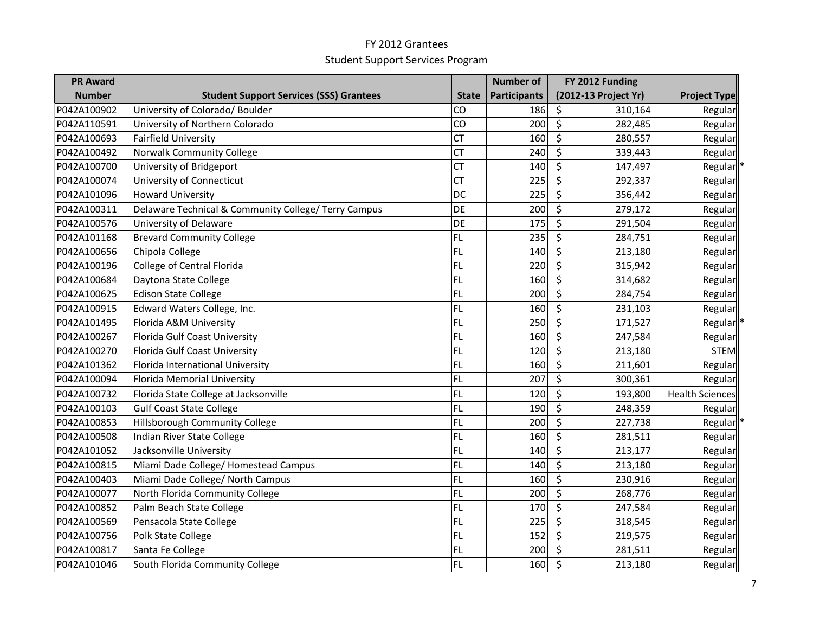| <b>PR Award</b> |                                                      |              | <b>Number of</b>    | FY 2012 Funding      |                        |
|-----------------|------------------------------------------------------|--------------|---------------------|----------------------|------------------------|
| <b>Number</b>   | <b>Student Support Services (SSS) Grantees</b>       | <b>State</b> | <b>Participants</b> | (2012-13 Project Yr) | <b>Project Type</b>    |
| P042A100902     | University of Colorado/ Boulder                      | CO           | 186                 | \$<br>310,164        | Regular                |
| P042A110591     | University of Northern Colorado                      | CO           | 200                 | $\zeta$<br>282,485   | Regular                |
| P042A100693     | Fairfield University                                 | <b>CT</b>    | 160                 | \$<br>280,557        | Regular                |
| P042A100492     | Norwalk Community College                            | <b>CT</b>    | 240                 | \$<br>339,443        | Regular                |
| P042A100700     | University of Bridgeport                             | <b>CT</b>    | 140                 | \$<br>147,497        | Regular                |
| P042A100074     | University of Connecticut                            | <b>CT</b>    | 225                 | \$<br>292,337        | Regular                |
| P042A101096     | <b>Howard University</b>                             | <b>DC</b>    | 225                 | \$<br>356,442        | Regular                |
| P042A100311     | Delaware Technical & Community College/ Terry Campus | DE           | 200                 | \$<br>279,172        | Regular                |
| P042A100576     | University of Delaware                               | <b>DE</b>    | 175                 | \$<br>291,504        | Regular                |
| P042A101168     | <b>Brevard Community College</b>                     | <b>FL</b>    | 235                 | \$<br>284,751        | Regular                |
| P042A100656     | Chipola College                                      | <b>FL</b>    | 140                 | \$<br>213,180        | Regular                |
| P042A100196     | College of Central Florida                           | <b>FL</b>    | 220                 | \$<br>315,942        | Regular                |
| P042A100684     | Daytona State College                                | FL           | 160                 | \$<br>314,682        | Regular                |
| P042A100625     | <b>Edison State College</b>                          | <b>FL</b>    | 200                 | \$<br>284,754        | Regular                |
| P042A100915     | Edward Waters College, Inc.                          | FL           | 160                 | \$<br>231,103        | Regular                |
| P042A101495     | Florida A&M University                               | FL           | 250                 | \$<br>171,527        | Regular                |
| P042A100267     | Florida Gulf Coast University                        | FL           | 160                 | \$<br>247,584        | Regular                |
| P042A100270     | Florida Gulf Coast University                        | FL           | 120                 | \$<br>213,180        | <b>STEM</b>            |
| P042A101362     | Florida International University                     | FL           | 160                 | \$<br>211,601        | Regular                |
| P042A100094     | Florida Memorial University                          | <b>FL</b>    | 207                 | \$<br>300,361        | Regular                |
| P042A100732     | Florida State College at Jacksonville                | <b>FL</b>    | 120                 | \$<br>193,800        | <b>Health Sciences</b> |
| P042A100103     | <b>Gulf Coast State College</b>                      | FL           | 190                 | \$<br>248,359        | Regular                |
| P042A100853     | Hillsborough Community College                       | FL           | 200                 | \$<br>227,738        | Regular                |
| P042A100508     | Indian River State College                           | FL           | 160                 | \$<br>281,511        | Regular                |
| P042A101052     | Jacksonville University                              | <b>FL</b>    | 140                 | \$<br>213,177        | Regular                |
| P042A100815     | Miami Dade College/ Homestead Campus                 | FL           | 140                 | \$<br>213,180        | Regular                |
| P042A100403     | Miami Dade College/ North Campus                     | FL           | 160                 | \$<br>230,916        | Regular                |
| P042A100077     | North Florida Community College                      | FL           | 200                 | \$<br>268,776        | Regular                |
| P042A100852     | Palm Beach State College                             | FL           | 170                 | \$<br>247,584        | Regular                |
| P042A100569     | Pensacola State College                              | FL           | 225                 | \$<br>318,545        | Regular                |
| P042A100756     | Polk State College                                   | FL           | 152                 | \$<br>219,575        | Regular                |
| P042A100817     | Santa Fe College                                     | FL           | 200                 | \$<br>281,511        | Regular                |
| P042A101046     | South Florida Community College                      | FL           | 160                 | $\zeta$<br>213,180   | Regular                |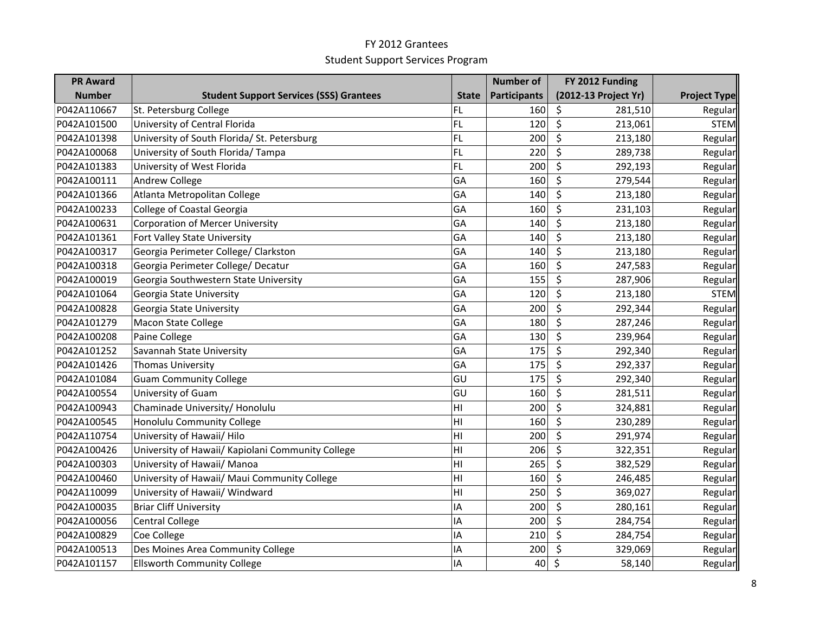| <b>PR Award</b> |                                                   |                | <b>Number of</b>    | FY 2012 Funding      |                     |
|-----------------|---------------------------------------------------|----------------|---------------------|----------------------|---------------------|
| <b>Number</b>   | <b>Student Support Services (SSS) Grantees</b>    | <b>State</b>   | <b>Participants</b> | (2012-13 Project Yr) | <b>Project Type</b> |
| P042A110667     | St. Petersburg College                            | FL.            | 160                 | \$<br>281,510        | Regular             |
| P042A101500     | University of Central Florida                     | FL.            | 120                 | $\zeta$<br>213,061   | <b>STEM</b>         |
| P042A101398     | University of South Florida/ St. Petersburg       | FL.            | 200                 | \$<br>213,180        | Regular             |
| P042A100068     | University of South Florida/ Tampa                | FL.            | 220                 | \$<br>289,738        | Regular             |
| P042A101383     | University of West Florida                        | FL.            | 200                 | \$<br>292,193        | Regular             |
| P042A100111     | Andrew College                                    | GA             | 160                 | \$<br>279,544        | Regular             |
| P042A101366     | Atlanta Metropolitan College                      | GA             | 140                 | \$<br>213,180        | Regular             |
| P042A100233     | <b>College of Coastal Georgia</b>                 | GA             | 160                 | \$<br>231,103        | Regular             |
| P042A100631     | <b>Corporation of Mercer University</b>           | GA             | 140                 | \$<br>213,180        | Regular             |
| P042A101361     | Fort Valley State University                      | GA             | 140                 | \$<br>213,180        | Regular             |
| P042A100317     | Georgia Perimeter College/ Clarkston              | GA             | 140                 | \$<br>213,180        | Regular             |
| P042A100318     | Georgia Perimeter College/ Decatur                | GA             | 160                 | \$<br>247,583        | Regular             |
| P042A100019     | Georgia Southwestern State University             | GA             | 155                 | \$<br>287,906        | Regular             |
| P042A101064     | Georgia State University                          | GA             | 120                 | \$<br>213,180        | <b>STEM</b>         |
| P042A100828     | Georgia State University                          | GA             | 200                 | \$<br>292,344        | Regular             |
| P042A101279     | Macon State College                               | GA             | 180                 | \$<br>287,246        | Regular             |
| P042A100208     | Paine College                                     | GA             | 130                 | \$<br>239,964        | Regular             |
| P042A101252     | Savannah State University                         | GA             | 175                 | \$<br>292,340        | Regular             |
| P042A101426     | <b>Thomas University</b>                          | GA             | 175                 | \$<br>292,337        | Regular             |
| P042A101084     | <b>Guam Community College</b>                     | GU             | 175                 | \$<br>292,340        | Regular             |
| P042A100554     | University of Guam                                | GU             | 160                 | \$<br>281,511        | Regular             |
| P042A100943     | Chaminade University/ Honolulu                    | HI             | 200                 | \$<br>324,881        | Regular             |
| P042A100545     | Honolulu Community College                        | HI             | 160                 | \$<br>230,289        | Regular             |
| P042A110754     | University of Hawaii/ Hilo                        | HI             | 200                 | \$<br>291,974        | Regular             |
| P042A100426     | University of Hawaii/ Kapiolani Community College | HI             | 206                 | \$<br>322,351        | Regular             |
| P042A100303     | University of Hawaii/ Manoa                       | H <sub>l</sub> | 265                 | \$<br>382,529        | Regular             |
| P042A100460     | University of Hawaii/ Maui Community College      | H1             | 160                 | \$<br>246,485        | Regular             |
| P042A110099     | University of Hawaii/ Windward                    | HI             | 250                 | \$<br>369,027        | Regular             |
| P042A100035     | <b>Briar Cliff University</b>                     | ΙA             | 200                 | \$<br>280,161        | Regular             |
| P042A100056     | <b>Central College</b>                            | ΙA             | 200                 | \$<br>284,754        | Regular             |
| P042A100829     | Coe College                                       | IA             | 210                 | \$<br>284,754        | Regular             |
| P042A100513     | Des Moines Area Community College                 | ١A             | 200                 | \$<br>329,069        | Regular             |
| P042A101157     | <b>Ellsworth Community College</b>                | IA             | 40                  | \$<br>58,140         | Regular             |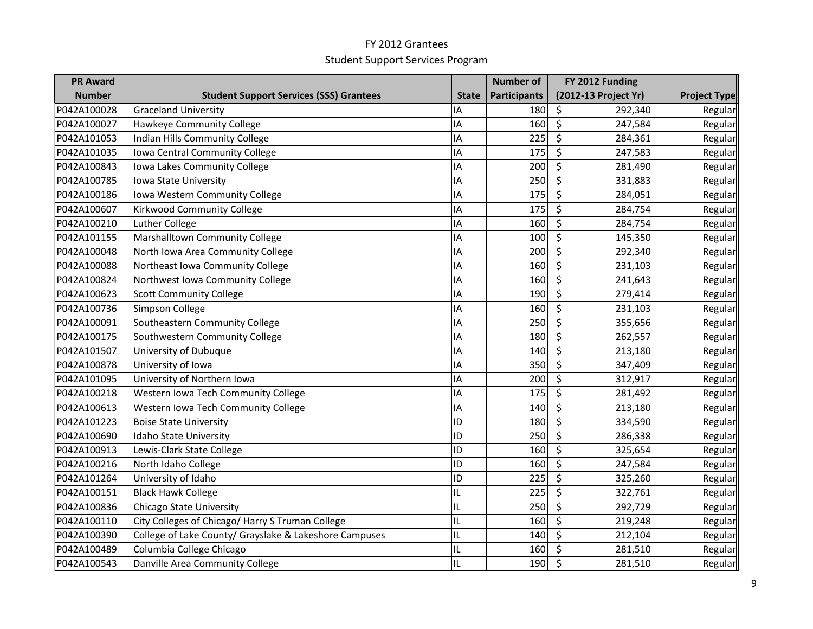| <b>PR Award</b> |                                                        |              | <b>Number of</b>    | FY 2012 Funding                            |                     |
|-----------------|--------------------------------------------------------|--------------|---------------------|--------------------------------------------|---------------------|
| <b>Number</b>   | <b>Student Support Services (SSS) Grantees</b>         | <b>State</b> | <b>Participants</b> | (2012-13 Project Yr)                       | <b>Project Type</b> |
| P042A100028     | <b>Graceland University</b>                            | ١A           | 180                 | \$<br>292,340                              | Regular             |
| P042A100027     | Hawkeye Community College                              | ١A           | 160                 | \$<br>247,584                              | Regular             |
| P042A101053     | <b>Indian Hills Community College</b>                  | ١A           | 225                 | \$<br>284,361                              | Regular             |
| P042A101035     | Iowa Central Community College                         | ١A           | 175                 | \$<br>247,583                              | Regular             |
| P042A100843     | Iowa Lakes Community College                           | ΙA           | 200                 | \$<br>281,490                              | Regular             |
| P042A100785     | Iowa State University                                  | ΙA           | 250                 | \$<br>331,883                              | Regular             |
| P042A100186     | Iowa Western Community College                         | IA           | 175                 | \$<br>284,051                              | Regular             |
| P042A100607     | Kirkwood Community College                             | ΙA           | 175                 | \$<br>284,754                              | Regular             |
| P042A100210     | Luther College                                         | IA           | 160                 | \$<br>284,754                              | Regular             |
| P042A101155     | Marshalltown Community College                         | ΙA           | 100                 | \$<br>145,350                              | Regular             |
| P042A100048     | North Iowa Area Community College                      | ΙA           | 200                 | \$<br>292,340                              | Regular             |
| P042A100088     | Northeast Iowa Community College                       | ΙA           | 160                 | \$<br>231,103                              | Regular             |
| P042A100824     | Northwest Iowa Community College                       | IA           | 160                 | \$<br>241,643                              | Regular             |
| P042A100623     | <b>Scott Community College</b>                         | ١A           | 190                 | \$<br>279,414                              | Regular             |
| P042A100736     | Simpson College                                        | ΙA           | 160                 | \$<br>231,103                              | Regular             |
| P042A100091     | Southeastern Community College                         | ΙA           | 250                 | \$<br>355,656                              | Regular             |
| P042A100175     | Southwestern Community College                         | IA           | 180                 | \$<br>262,557                              | Regular             |
| P042A101507     | University of Dubuque                                  | ΙA           | 140                 | \$<br>213,180                              | Regular             |
| P042A100878     | University of Iowa                                     | ΙA           | 350                 | \$<br>347,409                              | Regular             |
| P042A101095     | University of Northern Iowa                            | ΙA           | 200                 | \$<br>312,917                              | Regular             |
| P042A100218     | Western Iowa Tech Community College                    | ١A           | 175                 | \$<br>281,492                              | Regular             |
| P042A100613     | Western Iowa Tech Community College                    | ΙA           | 140                 | \$<br>213,180                              | Regular             |
| P042A101223     | <b>Boise State University</b>                          | ID           | 180                 | \$<br>334,590                              | Regular             |
| P042A100690     | Idaho State University                                 | ID           | 250                 | \$<br>286,338                              | Regular             |
| P042A100913     | Lewis-Clark State College                              | ID           | 160                 | \$<br>325,654                              | Regular             |
| P042A100216     | North Idaho College                                    | ID           | 160                 | \$<br>247,584                              | Regular             |
| P042A101264     | University of Idaho                                    | ID           | 225                 | \$<br>325,260                              | Regular             |
| P042A100151     | <b>Black Hawk College</b>                              | IL           | 225                 | $\overline{\boldsymbol{\zeta}}$<br>322,761 | Regular             |
| P042A100836     | <b>Chicago State University</b>                        | IL           | 250                 | \$<br>292,729                              | Regular             |
| P042A100110     | City Colleges of Chicago/ Harry S Truman College       | IL           | 160                 | \$<br>219,248                              | Regular             |
| P042A100390     | College of Lake County/ Grayslake & Lakeshore Campuses | IL           | 140                 | \$<br>212,104                              | Regular             |
| P042A100489     | Columbia College Chicago                               | IL           | 160                 | \$<br>281,510                              | Regular             |
| P042A100543     | Danville Area Community College                        | IL           | 190                 | \$<br>281,510                              | Regular             |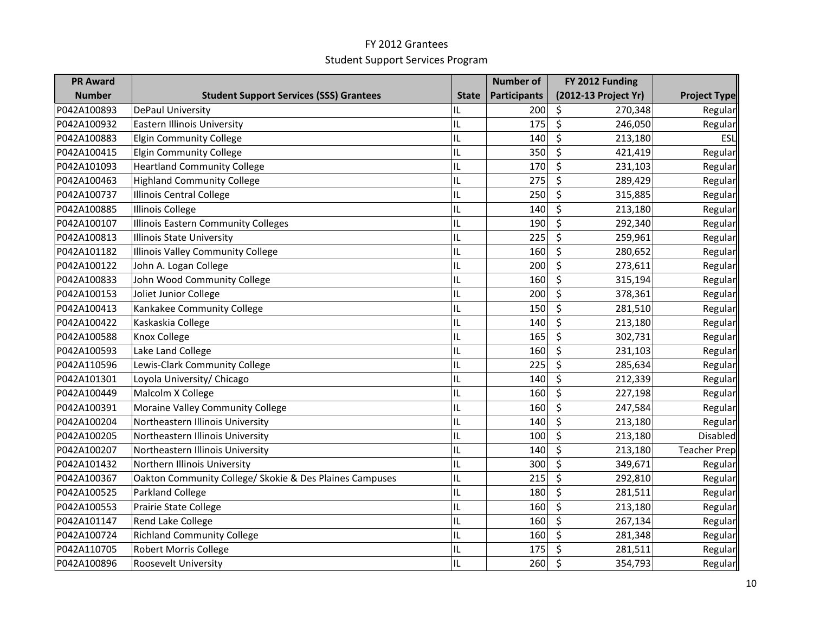| <b>PR Award</b> |                                                         |              | <b>Number of</b>    | FY 2012 Funding                    |                     |
|-----------------|---------------------------------------------------------|--------------|---------------------|------------------------------------|---------------------|
| <b>Number</b>   | <b>Student Support Services (SSS) Grantees</b>          | <b>State</b> | <b>Participants</b> | (2012-13 Project Yr)               | <b>Project Type</b> |
| P042A100893     | <b>DePaul University</b>                                | IL           | 200                 | \$<br>270,348                      | Regular             |
| P042A100932     | Eastern Illinois University                             | IL           | 175                 | \$<br>246,050                      | Regular             |
| P042A100883     | <b>Elgin Community College</b>                          | IL           | 140                 | \$<br>213,180                      | ESL                 |
| P042A100415     | <b>Elgin Community College</b>                          | IL           | 350                 | \$<br>421,419                      | Regular             |
| P042A101093     | <b>Heartland Community College</b>                      | IL           | 170                 | \$<br>231,103                      | Regular             |
| P042A100463     | <b>Highland Community College</b>                       | IL           | 275                 | \$<br>289,429                      | Regular             |
| P042A100737     | <b>Illinois Central College</b>                         | IL           | 250                 | \$<br>315,885                      | Regular             |
| P042A100885     | <b>Illinois College</b>                                 | IL           | 140                 | \$<br>213,180                      | Regular             |
| P042A100107     | Illinois Eastern Community Colleges                     | IL           | 190                 | \$<br>292,340                      | Regular             |
| P042A100813     | <b>Illinois State University</b>                        | IL           | 225                 | \$<br>259,961                      | Regular             |
| P042A101182     | Illinois Valley Community College                       | IL           | 160                 | \$<br>280,652                      | Regular             |
| P042A100122     | John A. Logan College                                   | IL           | 200                 | \$<br>273,611                      | Regular             |
| P042A100833     | John Wood Community College                             | IL           | 160                 | \$<br>315,194                      | Regular             |
| P042A100153     | Joliet Junior College                                   | IL           | 200                 | \$<br>378,361                      | Regular             |
| P042A100413     | Kankakee Community College                              | IL           | 150                 | \$<br>281,510                      | Regular             |
| P042A100422     | Kaskaskia College                                       | IL           | 140                 | \$<br>213,180                      | Regular             |
| P042A100588     | Knox College                                            | IL           | 165                 | \$<br>302,731                      | Regular             |
| P042A100593     | Lake Land College                                       | IL           | 160                 | \$<br>231,103                      | Regular             |
| P042A110596     | Lewis-Clark Community College                           | IL           | 225                 | \$<br>285,634                      | Regular             |
| P042A101301     | Loyola University/ Chicago                              | IL           | 140                 | \$<br>212,339                      | Regular             |
| P042A100449     | Malcolm X College                                       | IL           | 160                 | \$<br>227,198                      | Regular             |
| P042A100391     | Moraine Valley Community College                        | IL           | 160                 | \$<br>247,584                      | Regular             |
| P042A100204     | Northeastern Illinois University                        | IL           | 140                 | \$<br>213,180                      | Regular             |
| P042A100205     | Northeastern Illinois University                        | IL           | 100                 | $\overline{\mathsf{S}}$<br>213,180 | Disabled            |
| P042A100207     | Northeastern Illinois University                        | IL           | 140                 | \$<br>213,180                      | <b>Teacher Prep</b> |
| P042A101432     | Northern Illinois University                            | IL           | 300                 | \$<br>349,671                      | Regular             |
| P042A100367     | Oakton Community College/ Skokie & Des Plaines Campuses | IL           | 215                 | \$<br>292,810                      | Regular             |
| P042A100525     | <b>Parkland College</b>                                 | IL           | 180                 | \$<br>281,511                      | Regular             |
| P042A100553     | Prairie State College                                   | IL           | 160                 | \$<br>213,180                      | Regular             |
| P042A101147     | Rend Lake College                                       | IL           | 160                 | \$<br>267,134                      | Regular             |
| P042A100724     | <b>Richland Community College</b>                       | IL           | 160                 | \$<br>281,348                      | Regular             |
| P042A110705     | <b>Robert Morris College</b>                            | IL           | 175                 | \$<br>281,511                      | Regular             |
| P042A100896     | Roosevelt University                                    | IL           | 260                 | \$<br>354,793                      | Regular             |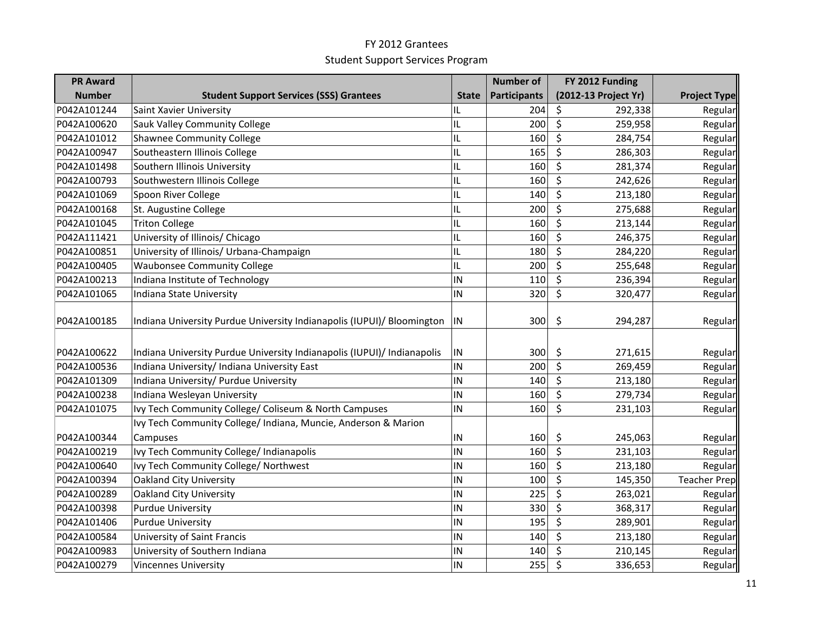| <b>PR Award</b> |                                                                         |                          | <b>Number of</b>    | FY 2012 Funding             |                     |
|-----------------|-------------------------------------------------------------------------|--------------------------|---------------------|-----------------------------|---------------------|
| <b>Number</b>   | <b>Student Support Services (SSS) Grantees</b>                          | <b>State</b>             | <b>Participants</b> | (2012-13 Project Yr)        | <b>Project Type</b> |
| P042A101244     | Saint Xavier University                                                 | IL                       | 204                 | \$<br>292,338               | Regular             |
| P042A100620     | <b>Sauk Valley Community College</b>                                    | IL                       | 200                 | \$<br>259,958               | Regular             |
| P042A101012     | <b>Shawnee Community College</b>                                        | IL                       | 160                 | \$<br>284,754               | Regular             |
| P042A100947     | Southeastern Illinois College                                           | IL                       | 165                 | \$<br>286,303               | Regular             |
| P042A101498     | Southern Illinois University                                            | IL                       | 160                 | \$<br>281,374               | Regular             |
| P042A100793     | Southwestern Illinois College                                           | IL                       | 160                 | \$<br>242,626               | Regular             |
| P042A101069     | Spoon River College                                                     | IL                       | 140                 | \$<br>213,180               | Regular             |
| P042A100168     | St. Augustine College                                                   | IL                       | 200                 | \$<br>275,688               | Regular             |
| P042A101045     | <b>Triton College</b>                                                   | IL                       | 160                 | \$<br>213,144               | Regular             |
| P042A111421     | University of Illinois/ Chicago                                         | IL                       | 160                 | \$<br>246,375               | Regular             |
| P042A100851     | University of Illinois/ Urbana-Champaign                                | IL                       | 180                 | \$<br>284,220               | Regular             |
| P042A100405     | <b>Waubonsee Community College</b>                                      | IL                       | 200                 | \$<br>255,648               | Regular             |
| P042A100213     | Indiana Institute of Technology                                         | IN                       | 110                 | \$<br>236,394               | Regular             |
| P042A101065     | Indiana State University                                                | IN                       | 320                 | \$<br>320,477               | Regular             |
| P042A100185     | Indiana University Purdue University Indianapolis (IUPUI)/ Bloomington  | $\overline{\mathsf{IN}}$ | 300                 | \$<br>294,287               | Regular             |
| P042A100622     | Indiana University Purdue University Indianapolis (IUPUI)/ Indianapolis | IN                       | 300                 | \$<br>271,615               | Regular             |
| P042A100536     | Indiana University/ Indiana University East                             | IN                       | 200                 | $\overline{\xi}$<br>269,459 | Regular             |
| P042A101309     | Indiana University/ Purdue University                                   | IN                       | 140                 | \$<br>213,180               | Regular             |
| P042A100238     | Indiana Wesleyan University                                             | IN                       | 160                 | \$<br>279,734               | Regular             |
| P042A101075     | Ivy Tech Community College/ Coliseum & North Campuses                   | IN                       | 160                 | \$<br>231,103               | Regular             |
|                 | Ivy Tech Community College/ Indiana, Muncie, Anderson & Marion          |                          |                     |                             |                     |
| P042A100344     | Campuses                                                                | IN                       | 160                 | \$<br>245,063               | Regular             |
| P042A100219     | Ivy Tech Community College/ Indianapolis                                | IN                       | 160                 | \$<br>231,103               | Regular             |
| P042A100640     | Ivy Tech Community College/ Northwest                                   | IN                       | 160                 | $\zeta$<br>213,180          | Regular             |
| P042A100394     | <b>Oakland City University</b>                                          | IN                       | 100                 | \$<br>145,350               | <b>Teacher Prep</b> |
| P042A100289     | <b>Oakland City University</b>                                          | IN                       | 225                 | \$<br>263,021               | Regular             |
| P042A100398     | <b>Purdue University</b>                                                | IN                       | 330                 | \$<br>368,317               | Regular             |
| P042A101406     | <b>Purdue University</b>                                                | IN                       | 195                 | \$<br>289,901               | Regular             |
| P042A100584     | University of Saint Francis                                             | IN                       | 140                 | \$<br>213,180               | Regular             |
| P042A100983     | University of Southern Indiana                                          | IN                       | 140                 | \$<br>210,145               | Regular             |
| P042A100279     | <b>Vincennes University</b>                                             | IN                       | 255                 | $\zeta$<br>336,653          | Regular             |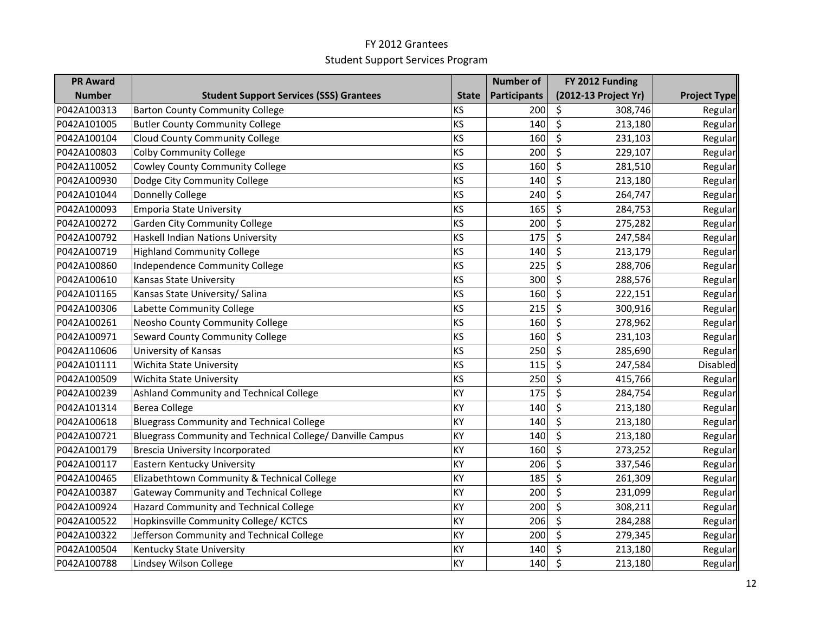| <b>PR Award</b> |                                                            |              | <b>Number of</b>    | FY 2012 Funding                            |                     |
|-----------------|------------------------------------------------------------|--------------|---------------------|--------------------------------------------|---------------------|
| <b>Number</b>   | <b>Student Support Services (SSS) Grantees</b>             | <b>State</b> | <b>Participants</b> | (2012-13 Project Yr)                       | <b>Project Type</b> |
| P042A100313     | <b>Barton County Community College</b>                     | KS           | 200                 | \$<br>308,746                              | Regular             |
| P042A101005     | <b>Butler County Community College</b>                     | KS           | 140                 | \$<br>213,180                              | Regular             |
| P042A100104     | <b>Cloud County Community College</b>                      | KS           | 160                 | \$<br>231,103                              | Regular             |
| P042A100803     | <b>Colby Community College</b>                             | KS           | 200                 | \$<br>229,107                              | Regular             |
| P042A110052     | <b>Cowley County Community College</b>                     | KS           | 160                 | \$<br>281,510                              | Regular             |
| P042A100930     | Dodge City Community College                               | KS           | 140                 | \$<br>213,180                              | Regular             |
| P042A101044     | <b>Donnelly College</b>                                    | KS           | 240                 | \$<br>264,747                              | Regular             |
| P042A100093     | <b>Emporia State University</b>                            | KS           | 165                 | \$<br>284,753                              | Regular             |
| P042A100272     | <b>Garden City Community College</b>                       | KS           | 200                 | \$<br>275,282                              | Regular             |
| P042A100792     | Haskell Indian Nations University                          | KS           | 175                 | \$<br>247,584                              | Regular             |
| P042A100719     | <b>Highland Community College</b>                          | KS           | 140                 | \$<br>213,179                              | Regular             |
| P042A100860     | Independence Community College                             | KS           | 225                 | $\overline{\boldsymbol{\zeta}}$<br>288,706 | Regular             |
| P042A100610     | Kansas State University                                    | KS           | 300                 | \$<br>288,576                              | Regular             |
| P042A101165     | Kansas State University/ Salina                            | KS           | 160                 | \$<br>222,151                              | Regular             |
| P042A100306     | Labette Community College                                  | KS           | 215                 | \$<br>300,916                              | Regular             |
| P042A100261     | Neosho County Community College                            | KS           | 160                 | \$<br>278,962                              | Regular             |
| P042A100971     | Seward County Community College                            | KS           | 160                 | \$<br>231,103                              | Regular             |
| P042A110606     | University of Kansas                                       | KS           | 250                 | \$<br>285,690                              | Regular             |
| P042A101111     | Wichita State University                                   | KS           | 115                 | \$<br>247,584                              | Disabled            |
| P042A100509     | Wichita State University                                   | KS           | 250                 | \$<br>415,766                              | Regular             |
| P042A100239     | Ashland Community and Technical College                    | KY           | 175                 | \$<br>284,754                              | Regular             |
| P042A101314     | <b>Berea College</b>                                       | KY           | 140                 | \$<br>213,180                              | Regular             |
| P042A100618     | <b>Bluegrass Community and Technical College</b>           | KY           | 140                 | \$<br>213,180                              | Regular             |
| P042A100721     | Bluegrass Community and Technical College/ Danville Campus | KY           | 140                 | \$<br>213,180                              | Regular             |
| P042A100179     | <b>Brescia University Incorporated</b>                     | KY           | 160                 | \$<br>273,252                              | Regular             |
| P042A100117     | Eastern Kentucky University                                | KY           | 206                 | \$<br>337,546                              | Regular             |
| P042A100465     | Elizabethtown Community & Technical College                | KY           | 185                 | \$<br>261,309                              | Regular             |
| P042A100387     | <b>Gateway Community and Technical College</b>             | KY           | 200                 | \$<br>231,099                              | Regular             |
| P042A100924     | Hazard Community and Technical College                     | KY           | 200                 | \$<br>308,211                              | Regular             |
| P042A100522     | Hopkinsville Community College/KCTCS                       | KY           | 206                 | \$<br>284,288                              | Regular             |
| P042A100322     | Jefferson Community and Technical College                  | KY           | 200                 | \$<br>279,345                              | Regular             |
| P042A100504     | Kentucky State University                                  | KY           | 140                 | \$<br>213,180                              | Regular             |
| P042A100788     | Lindsey Wilson College                                     | KY           | 140                 | \$<br>213,180                              | Regular             |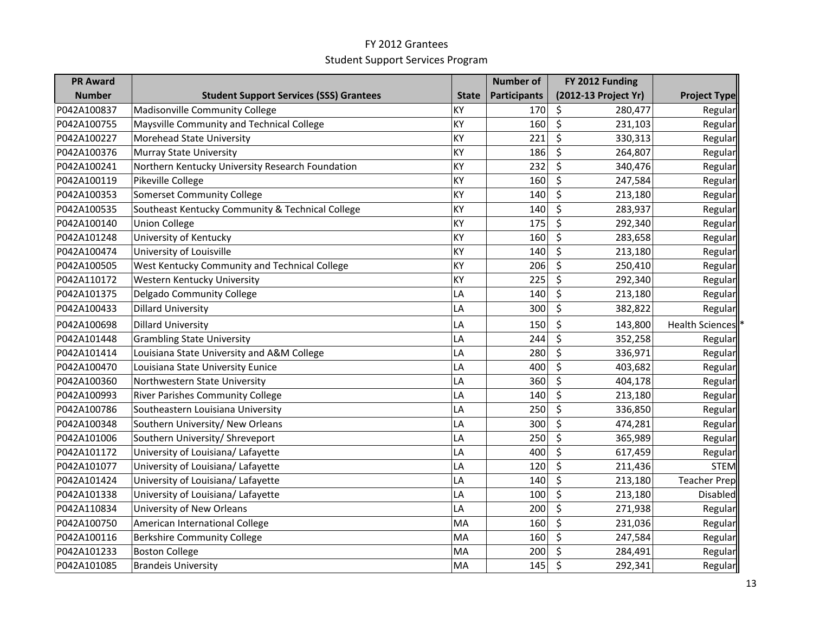| <b>PR Award</b> |                                                  |              | <b>Number of</b>    | FY 2012 Funding      |                        |
|-----------------|--------------------------------------------------|--------------|---------------------|----------------------|------------------------|
| <b>Number</b>   | <b>Student Support Services (SSS) Grantees</b>   | <b>State</b> | <b>Participants</b> | (2012-13 Project Yr) | <b>Project Type</b>    |
| P042A100837     | Madisonville Community College                   | KY           | 170                 | \$<br>280,477        | Regular                |
| P042A100755     | Maysville Community and Technical College        | KY           | 160                 | \$<br>231,103        | Regular                |
| P042A100227     | Morehead State University                        | KY           | 221                 | \$<br>330,313        | Regular                |
| P042A100376     | Murray State University                          | KY           | 186                 | \$<br>264,807        | Regular                |
| P042A100241     | Northern Kentucky University Research Foundation | KY           | 232                 | \$<br>340,476        | Regular                |
| P042A100119     | Pikeville College                                | KY           | 160                 | \$<br>247,584        | Regular                |
| P042A100353     | <b>Somerset Community College</b>                | KY           | 140                 | \$<br>213,180        | Regular                |
| P042A100535     | Southeast Kentucky Community & Technical College | KY           | 140                 | \$<br>283,937        | Regular                |
| P042A100140     | <b>Union College</b>                             | ky           | 175                 | \$<br>292,340        | Regular                |
| P042A101248     | University of Kentucky                           | KY           | 160                 | \$<br>283,658        | Regular                |
| P042A100474     | University of Louisville                         | KY           | 140                 | \$<br>213,180        | Regular                |
| P042A100505     | West Kentucky Community and Technical College    | KY           | 206                 | \$<br>250,410        | Regular                |
| P042A110172     | Western Kentucky University                      | KY           | 225                 | \$<br>292,340        | Regular                |
| P042A101375     | Delgado Community College                        | LA           | 140                 | \$<br>213,180        | Regular                |
| P042A100433     | <b>Dillard University</b>                        | LA           | 300                 | \$<br>382,822        | Regular                |
| P042A100698     | <b>Dillard University</b>                        | LA           | 150                 | \$<br>143,800        | <b>Health Sciences</b> |
| P042A101448     | <b>Grambling State University</b>                | LA           | 244                 | \$<br>352,258        | Regular                |
| P042A101414     | Louisiana State University and A&M College       | LA           | 280                 | \$<br>336,971        | Regular                |
| P042A100470     | Louisiana State University Eunice                | LA           | 400                 | \$<br>403,682        | Regular                |
| P042A100360     | Northwestern State University                    | LA           | 360                 | \$<br>404,178        | Regular                |
| P042A100993     | <b>River Parishes Community College</b>          | LA           | 140                 | \$<br>213,180        | Regular                |
| P042A100786     | Southeastern Louisiana University                | LA           | 250                 | \$<br>336,850        | Regular                |
| P042A100348     | Southern University/ New Orleans                 | LA           | 300                 | \$<br>474,281        | Regular                |
| P042A101006     | Southern University/ Shreveport                  | LA           | 250                 | \$<br>365,989        | Regular                |
| P042A101172     | University of Louisiana/ Lafayette               | LA           | 400                 | \$<br>617,459        | Regular                |
| P042A101077     | University of Louisiana/ Lafayette               | LA           | 120                 | $\zeta$<br>211,436   | <b>STEM</b>            |
| P042A101424     | University of Louisiana/ Lafayette               | LA           | 140                 | \$<br>213,180        | <b>Teacher Prep</b>    |
| P042A101338     | University of Louisiana/ Lafayette               | LA           | 100                 | \$<br>213,180        | <b>Disabled</b>        |
| P042A110834     | University of New Orleans                        | LA           | 200                 | \$<br>271,938        | Regular                |
| P042A100750     | American International College                   | MA           | 160                 | \$<br>231,036        | Regular                |
| P042A100116     | <b>Berkshire Community College</b>               | MA           | 160                 | \$<br>247,584        | Regular                |
| P042A101233     | <b>Boston College</b>                            | MA           | 200                 | \$<br>284,491        | Regular                |
| P042A101085     | <b>Brandeis University</b>                       | MA           | 145                 | \$<br>292,341        | Regular                |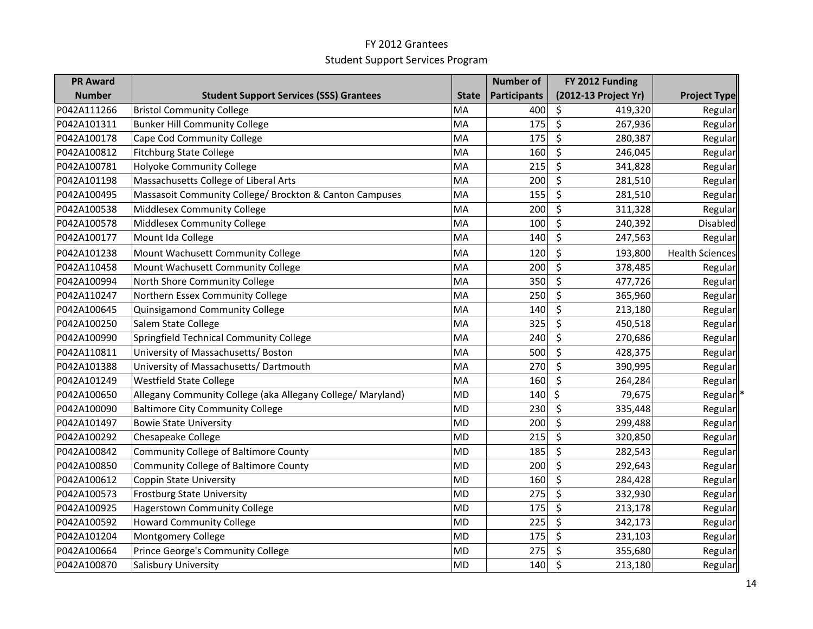| <b>PR Award</b> |                                                             |              | <b>Number of</b>    | FY 2012 Funding      |                        |
|-----------------|-------------------------------------------------------------|--------------|---------------------|----------------------|------------------------|
| <b>Number</b>   | <b>Student Support Services (SSS) Grantees</b>              | <b>State</b> | <b>Participants</b> | (2012-13 Project Yr) | <b>Project Type</b>    |
| P042A111266     | <b>Bristol Community College</b>                            | MA           | 400                 | \$<br>419,320        | Regular                |
| P042A101311     | <b>Bunker Hill Community College</b>                        | MA           | 175                 | $\zeta$<br>267,936   | Regular                |
| P042A100178     | Cape Cod Community College                                  | MA           | 175                 | \$<br>280,387        | Regular                |
| P042A100812     | <b>Fitchburg State College</b>                              | MA           | 160                 | \$<br>246,045        | Regular                |
| P042A100781     | Holyoke Community College                                   | MA           | 215                 | \$<br>341,828        | Regular                |
| P042A101198     | Massachusetts College of Liberal Arts                       | MA           | 200                 | \$<br>281,510        | Regular                |
| P042A100495     | Massasoit Community College/ Brockton & Canton Campuses     | MA           | 155                 | \$<br>281,510        | Regular                |
| P042A100538     | Middlesex Community College                                 | MA           | 200                 | \$<br>311,328        | Regular                |
| P042A100578     | Middlesex Community College                                 | MA           | 100                 | \$<br>240,392        | Disabled               |
| P042A100177     | Mount Ida College                                           | MA           | 140                 | \$<br>247,563        | Regular                |
| P042A101238     | Mount Wachusett Community College                           | MA           | 120                 | \$<br>193,800        | <b>Health Sciences</b> |
| P042A110458     | Mount Wachusett Community College                           | MA           | 200                 | \$<br>378,485        | Regular                |
| P042A100994     | North Shore Community College                               | MA           | 350                 | \$<br>477,726        | Regular                |
| P042A110247     | Northern Essex Community College                            | MA           | 250                 | \$<br>365,960        | Regular                |
| P042A100645     | Quinsigamond Community College                              | MA           | 140                 | \$<br>213,180        | Regular                |
| P042A100250     | Salem State College                                         | MA           | 325                 | \$<br>450,518        | Regular                |
| P042A100990     | Springfield Technical Community College                     | MA           | 240                 | \$<br>270,686        | Regular                |
| P042A110811     | University of Massachusetts/ Boston                         | MA           | 500                 | \$<br>428,375        | Regular                |
| P042A101388     | University of Massachusetts/ Dartmouth                      | MA           | 270                 | \$<br>390,995        | Regular                |
| P042A101249     | <b>Westfield State College</b>                              | MA           | 160                 | \$<br>264,284        | Regular                |
| P042A100650     | Allegany Community College (aka Allegany College/ Maryland) | <b>MD</b>    | 140                 | \$<br>79,675         | Regular                |
| P042A100090     | <b>Baltimore City Community College</b>                     | <b>MD</b>    | 230                 | \$<br>335,448        | Regular                |
| P042A101497     | <b>Bowie State University</b>                               | <b>MD</b>    | 200                 | \$<br>299,488        | Regular                |
| P042A100292     | Chesapeake College                                          | <b>MD</b>    | 215                 | \$<br>320,850        | Regular                |
| P042A100842     | Community College of Baltimore County                       | <b>MD</b>    | 185                 | \$<br>282,543        | Regular                |
| P042A100850     | Community College of Baltimore County                       | <b>MD</b>    | 200                 | \$<br>292,643        | Regular                |
| P042A100612     | <b>Coppin State University</b>                              | <b>MD</b>    | 160                 | \$<br>284,428        | Regular                |
| P042A100573     | <b>Frostburg State University</b>                           | <b>MD</b>    | 275                 | \$<br>332,930        | Regular                |
| P042A100925     | <b>Hagerstown Community College</b>                         | <b>MD</b>    | 175                 | \$<br>213,178        | Regular                |
| P042A100592     | <b>Howard Community College</b>                             | <b>MD</b>    | 225                 | \$<br>342,173        | Regular                |
| P042A101204     | Montgomery College                                          | <b>MD</b>    | 175                 | \$<br>231,103        | Regular                |
| P042A100664     | Prince George's Community College                           | <b>MD</b>    | 275                 | \$<br>355,680        | Regular                |
| P042A100870     | Salisbury University                                        | MD           | 140                 | $\zeta$<br>213,180   | Regular                |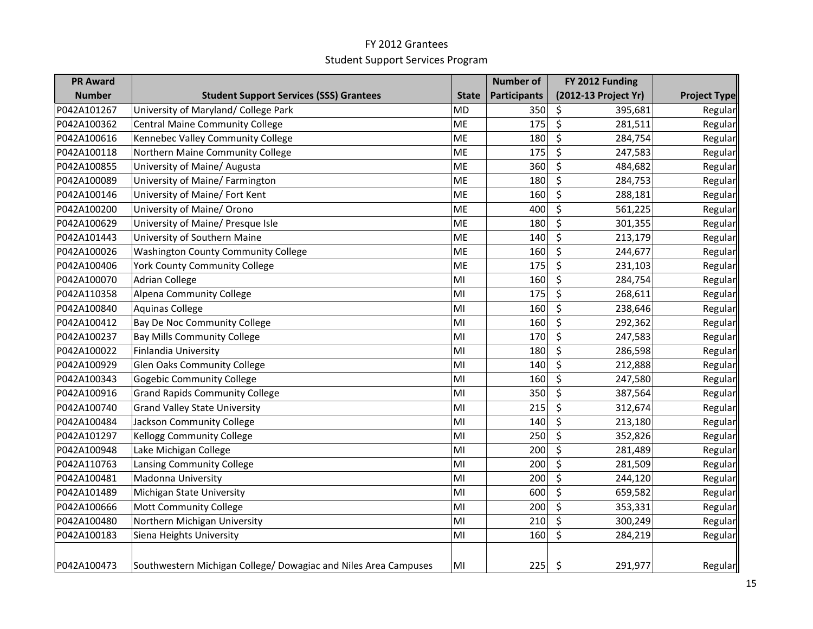| <b>PR Award</b> |                                                                 |              | <b>Number of</b>    | FY 2012 Funding                   |                     |
|-----------------|-----------------------------------------------------------------|--------------|---------------------|-----------------------------------|---------------------|
| <b>Number</b>   | <b>Student Support Services (SSS) Grantees</b>                  | <b>State</b> | <b>Participants</b> | (2012-13 Project Yr)              | <b>Project Type</b> |
| P042A101267     | University of Maryland/ College Park                            | <b>MD</b>    | 350                 | \$<br>395,681                     | Regular             |
| P042A100362     | <b>Central Maine Community College</b>                          | <b>ME</b>    | 175                 | \$<br>281,511                     | Regular             |
| P042A100616     | Kennebec Valley Community College                               | <b>ME</b>    | 180                 | \$<br>284,754                     | Regular             |
| P042A100118     | Northern Maine Community College                                | ME           | 175                 | \$<br>247,583                     | Regular             |
| P042A100855     | University of Maine/ Augusta                                    | ME           | 360                 | \$<br>484,682                     | Regular             |
| P042A100089     | University of Maine/ Farmington                                 | <b>ME</b>    | 180                 | \$<br>284,753                     | Regular             |
| P042A100146     | University of Maine/ Fort Kent                                  | ME           | 160                 | \$<br>288,181                     | Regular             |
| P042A100200     | University of Maine/ Orono                                      | ME           | 400                 | \$<br>561,225                     | Regular             |
| P042A100629     | University of Maine/ Presque Isle                               | ME           | 180                 | \$<br>301,355                     | Regular             |
| P042A101443     | University of Southern Maine                                    | <b>ME</b>    | 140                 | \$<br>213,179                     | Regular             |
| P042A100026     | <b>Washington County Community College</b>                      | <b>ME</b>    | 160                 | \$<br>244,677                     | Regular             |
| P042A100406     | <b>York County Community College</b>                            | <b>ME</b>    | 175                 | $\overline{\varsigma}$<br>231,103 | Regular             |
| P042A100070     | <b>Adrian College</b>                                           | MI           | 160                 | \$<br>284,754                     | Regular             |
| P042A110358     | <b>Alpena Community College</b>                                 | MI           | 175                 | \$<br>268,611                     | Regular             |
| P042A100840     | <b>Aquinas College</b>                                          | MI           | 160                 | \$<br>238,646                     | Regular             |
| P042A100412     | <b>Bay De Noc Community College</b>                             | MI           | 160                 | \$<br>292,362                     | Regular             |
| P042A100237     | <b>Bay Mills Community College</b>                              | MI           | 170                 | \$<br>247,583                     | Regular             |
| P042A100022     | Finlandia University                                            | MI           | 180                 | \$<br>286,598                     | Regular             |
| P042A100929     | <b>Glen Oaks Community College</b>                              | MI           | 140                 | \$<br>212,888                     | Regular             |
| P042A100343     | <b>Gogebic Community College</b>                                | MI           | 160                 | \$<br>247,580                     | Regular             |
| P042A100916     | <b>Grand Rapids Community College</b>                           | MI           | 350                 | \$<br>387,564                     | Regular             |
| P042A100740     | <b>Grand Valley State University</b>                            | MI           | 215                 | \$<br>312,674                     | Regular             |
| P042A100484     | Jackson Community College                                       | MI           | 140                 | \$<br>213,180                     | Regular             |
| P042A101297     | <b>Kellogg Community College</b>                                | MI           | 250                 | \$<br>352,826                     | Regular             |
| P042A100948     | Lake Michigan College                                           | MI           | 200                 | \$<br>281,489                     | Regular             |
| P042A110763     | Lansing Community College                                       | MI           | 200                 | \$<br>281,509                     | Regular             |
| P042A100481     | Madonna University                                              | MI           | 200                 | \$<br>244,120                     | Regular             |
| P042A101489     | Michigan State University                                       | MI           | 600                 | \$<br>659,582                     | Regular             |
| P042A100666     | <b>Mott Community College</b>                                   | MI           | 200                 | \$<br>353,331                     | Regular             |
| P042A100480     | Northern Michigan University                                    | MI           | 210                 | \$<br>300,249                     | Regular             |
| P042A100183     | Siena Heights University                                        | MI           | 160                 | \$<br>284,219                     | Regular             |
| P042A100473     | Southwestern Michigan College/ Dowagiac and Niles Area Campuses | MI           | 225                 | \$<br>291,977                     | Regular             |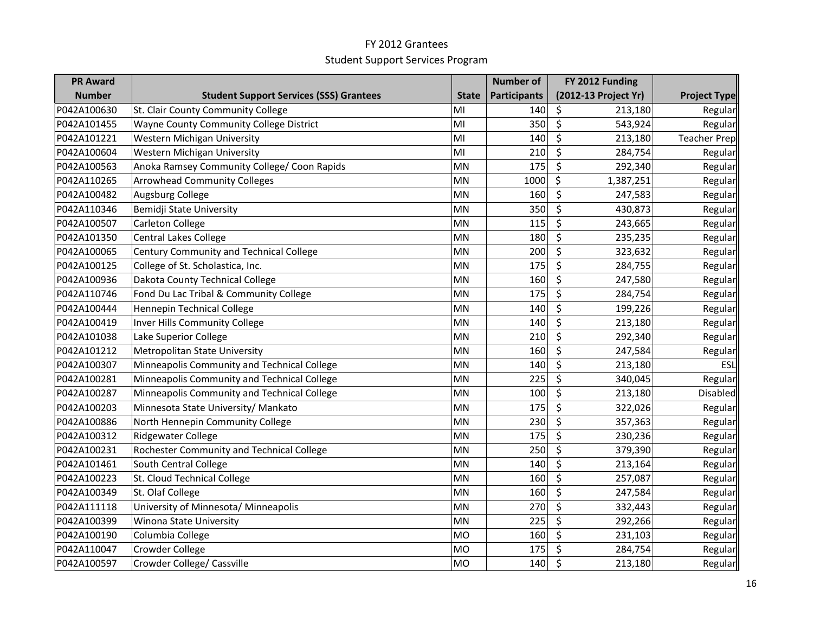| <b>PR Award</b> |                                                |              | <b>Number of</b>    | FY 2012 Funding      |                     |
|-----------------|------------------------------------------------|--------------|---------------------|----------------------|---------------------|
| <b>Number</b>   | <b>Student Support Services (SSS) Grantees</b> | <b>State</b> | <b>Participants</b> | (2012-13 Project Yr) | <b>Project Type</b> |
| P042A100630     | St. Clair County Community College             | MI           | 140                 | \$<br>213,180        | Regular             |
| P042A101455     | Wayne County Community College District        | MI           | 350                 | \$<br>543,924        | Regular             |
| P042A101221     | Western Michigan University                    | MI           | 140                 | \$<br>213,180        | <b>Teacher Prep</b> |
| P042A100604     | Western Michigan University                    | MI           | 210                 | \$<br>284,754        | Regular             |
| P042A100563     | Anoka Ramsey Community College/ Coon Rapids    | <b>MN</b>    | 175                 | \$<br>292,340        | Regular             |
| P042A110265     | <b>Arrowhead Community Colleges</b>            | MN           | 1000                | \$<br>1,387,251      | Regular             |
| P042A100482     | Augsburg College                               | <b>MN</b>    | 160                 | \$<br>247,583        | Regular             |
| P042A110346     | Bemidji State University                       | <b>MN</b>    | 350                 | \$<br>430,873        | Regular             |
| P042A100507     | Carleton College                               | <b>MN</b>    | 115                 | \$<br>243,665        | Regular             |
| P042A101350     | <b>Central Lakes College</b>                   | <b>MN</b>    | 180                 | \$<br>235,235        | Regular             |
| P042A100065     | Century Community and Technical College        | <b>MN</b>    | 200                 | \$<br>323,632        | Regular             |
| P042A100125     | College of St. Scholastica, Inc.               | <b>MN</b>    | 175                 | \$<br>284,755        | Regular             |
| P042A100936     | Dakota County Technical College                | <b>MN</b>    | 160                 | \$<br>247,580        | Regular             |
| P042A110746     | Fond Du Lac Tribal & Community College         | MN           | 175                 | \$<br>284,754        | Regular             |
| P042A100444     | Hennepin Technical College                     | <b>MN</b>    | 140                 | \$<br>199,226        | Regular             |
| P042A100419     | Inver Hills Community College                  | <b>MN</b>    | 140                 | \$<br>213,180        | Regular             |
| P042A101038     | Lake Superior College                          | <b>MN</b>    | 210                 | \$<br>292,340        | Regular             |
| P042A101212     | Metropolitan State University                  | <b>MN</b>    | 160                 | \$<br>247,584        | Regular             |
| P042A100307     | Minneapolis Community and Technical College    | <b>MN</b>    | 140                 | \$<br>213,180        | ESL                 |
| P042A100281     | Minneapolis Community and Technical College    | MN           | 225                 | \$<br>340,045        | Regular             |
| P042A100287     | Minneapolis Community and Technical College    | MN           | 100                 | \$<br>213,180        | <b>Disabled</b>     |
| P042A100203     | Minnesota State University/ Mankato            | <b>MN</b>    | 175                 | \$<br>322,026        | Regular             |
| P042A100886     | North Hennepin Community College               | <b>MN</b>    | 230                 | \$<br>357,363        | Regular             |
| P042A100312     | <b>Ridgewater College</b>                      | <b>MN</b>    | 175                 | \$<br>230,236        | Regular             |
| P042A100231     | Rochester Community and Technical College      | <b>MN</b>    | 250                 | \$<br>379,390        | Regular             |
| P042A101461     | South Central College                          | <b>MN</b>    | 140                 | \$<br>213,164        | Regular             |
| P042A100223     | St. Cloud Technical College                    | <b>MN</b>    | 160                 | \$<br>257,087        | Regular             |
| P042A100349     | St. Olaf College                               | <b>MN</b>    | 160                 | \$<br>247,584        | Regular             |
| P042A111118     | University of Minnesota/ Minneapolis           | MN           | 270                 | \$<br>332,443        | Regular             |
| P042A100399     | Winona State University                        | <b>MN</b>    | 225                 | \$<br>292,266        | Regular             |
| P042A100190     | Columbia College                               | <b>MO</b>    | 160                 | \$<br>231,103        | Regular             |
| P042A110047     | <b>Crowder College</b>                         | <b>MO</b>    | 175                 | \$<br>284,754        | Regular             |
| P042A100597     | Crowder College/ Cassville                     | <b>MO</b>    | 140                 | \$<br>213,180        | Regular             |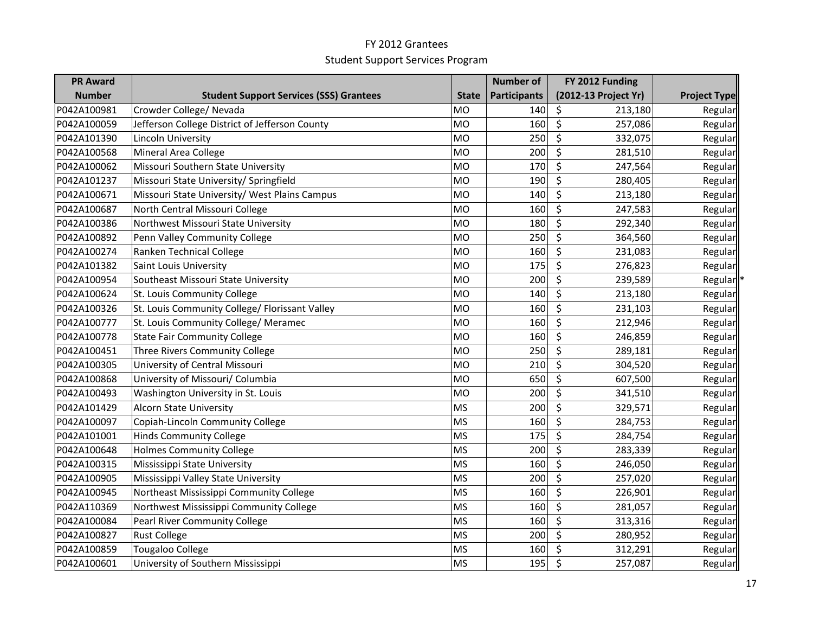| <b>PR Award</b> |                                                |              | <b>Number of</b>    | FY 2012 Funding      |                     |
|-----------------|------------------------------------------------|--------------|---------------------|----------------------|---------------------|
| <b>Number</b>   | <b>Student Support Services (SSS) Grantees</b> | <b>State</b> | <b>Participants</b> | (2012-13 Project Yr) | <b>Project Type</b> |
| P042A100981     | Crowder College/ Nevada                        | <b>MO</b>    | 140                 | \$<br>213,180        | Regular             |
| P042A100059     | Jefferson College District of Jefferson County | <b>MO</b>    | 160                 | \$<br>257,086        | Regular             |
| P042A101390     | Lincoln University                             | <b>MO</b>    | 250                 | \$<br>332,075        | Regular             |
| P042A100568     | Mineral Area College                           | <b>MO</b>    | 200                 | \$<br>281,510        | Regular             |
| P042A100062     | Missouri Southern State University             | <b>MO</b>    | 170                 | \$<br>247,564        | Regular             |
| P042A101237     | Missouri State University/ Springfield         | <b>MO</b>    | 190                 | \$<br>280,405        | Regular             |
| P042A100671     | Missouri State University/ West Plains Campus  | <b>MO</b>    | 140                 | \$<br>213,180        | Regular             |
| P042A100687     | North Central Missouri College                 | <b>MO</b>    | 160                 | \$<br>247,583        | Regular             |
| P042A100386     | Northwest Missouri State University            | MO           | 180                 | \$<br>292,340        | Regular             |
| P042A100892     | Penn Valley Community College                  | <b>MO</b>    | 250                 | \$<br>364,560        | Regular             |
| P042A100274     | Ranken Technical College                       | <b>MO</b>    | 160                 | \$<br>231,083        | Regular             |
| P042A101382     | Saint Louis University                         | <b>MO</b>    | 175                 | \$<br>276,823        | Regular             |
| P042A100954     | Southeast Missouri State University            | <b>MO</b>    | 200                 | \$<br>239,589        | Regular             |
| P042A100624     | St. Louis Community College                    | <b>MO</b>    | 140                 | \$<br>213,180        | Regular             |
| P042A100326     | St. Louis Community College/ Florissant Valley | <b>MO</b>    | 160                 | \$<br>231,103        | Regular             |
| P042A100777     | St. Louis Community College/ Meramec           | <b>MO</b>    | 160                 | \$<br>212,946        | Regular             |
| P042A100778     | <b>State Fair Community College</b>            | <b>MO</b>    | 160                 | \$<br>246,859        | Regular             |
| P042A100451     | Three Rivers Community College                 | <b>MO</b>    | 250                 | \$<br>289,181        | Regular             |
| P042A100305     | University of Central Missouri                 | <b>MO</b>    | 210                 | \$<br>304,520        | Regular             |
| P042A100868     | University of Missouri/ Columbia               | <b>MO</b>    | 650                 | \$<br>607,500        | Regular             |
| P042A100493     | Washington University in St. Louis             | <b>MO</b>    | 200                 | \$<br>341,510        | Regular             |
| P042A101429     | <b>Alcorn State University</b>                 | MS           | 200                 | \$<br>329,571        | Regular             |
| P042A100097     | Copiah-Lincoln Community College               | <b>MS</b>    | 160                 | \$<br>284,753        | Regular             |
| P042A101001     | <b>Hinds Community College</b>                 | MS           | 175                 | \$<br>284,754        | Regular             |
| P042A100648     | <b>Holmes Community College</b>                | <b>MS</b>    | 200                 | \$<br>283,339        | Regular             |
| P042A100315     | Mississippi State University                   | <b>MS</b>    | 160                 | $\zeta$<br>246,050   | Regular             |
| P042A100905     | Mississippi Valley State University            | <b>MS</b>    | 200                 | \$<br>257,020        | Regular             |
| P042A100945     | Northeast Mississippi Community College        | <b>MS</b>    | 160                 | \$<br>226,901        | Regular             |
| P042A110369     | Northwest Mississippi Community College        | MS           | 160                 | \$<br>281,057        | Regular             |
| P042A100084     | Pearl River Community College                  | <b>MS</b>    | 160                 | \$<br>313,316        | Regular             |
| P042A100827     | <b>Rust College</b>                            | <b>MS</b>    | 200                 | \$<br>280,952        | Regular             |
| P042A100859     | <b>Tougaloo College</b>                        | <b>MS</b>    | 160                 | \$<br>312,291        | Regular             |
| P042A100601     | University of Southern Mississippi             | MS           | 195                 | $\zeta$<br>257,087   | Regular             |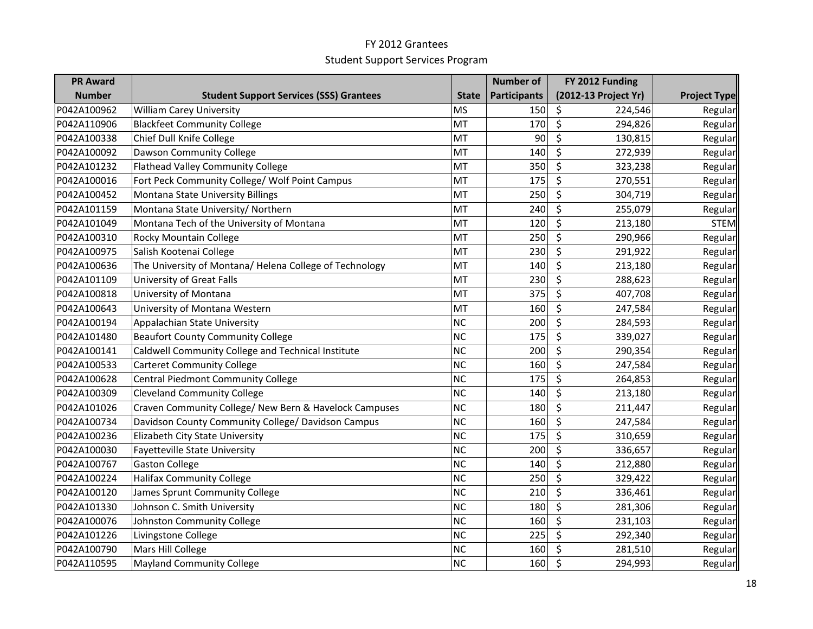| <b>PR Award</b> |                                                         |              | <b>Number of</b>    | FY 2012 Funding      |                     |
|-----------------|---------------------------------------------------------|--------------|---------------------|----------------------|---------------------|
| <b>Number</b>   | <b>Student Support Services (SSS) Grantees</b>          | <b>State</b> | <b>Participants</b> | (2012-13 Project Yr) | <b>Project Type</b> |
| P042A100962     | <b>William Carey University</b>                         | <b>MS</b>    | 150                 | \$<br>224,546        | Regular             |
| P042A110906     | <b>Blackfeet Community College</b>                      | <b>MT</b>    | 170                 | \$<br>294,826        | Regular             |
| P042A100338     | Chief Dull Knife College                                | MT           | 90                  | \$<br>130,815        | Regular             |
| P042A100092     | Dawson Community College                                | MT           | 140                 | $\zeta$<br>272,939   | Regular             |
| P042A101232     | <b>Flathead Valley Community College</b>                | MT           | 350                 | \$<br>323,238        | Regular             |
| P042A100016     | Fort Peck Community College/ Wolf Point Campus          | MT           | 175                 | \$<br>270,551        | Regular             |
| P042A100452     | Montana State University Billings                       | MT           | 250                 | \$<br>304,719        | Regular             |
| P042A101159     | Montana State University/ Northern                      | MT           | 240                 | \$<br>255,079        | Regular             |
| P042A101049     | Montana Tech of the University of Montana               | MT           | 120                 | \$<br>213,180        | <b>STEM</b>         |
| P042A100310     | Rocky Mountain College                                  | MT           | 250                 | \$<br>290,966        | Regular             |
| P042A100975     | Salish Kootenai College                                 | MT           | 230                 | \$<br>291,922        | Regular             |
| P042A100636     | The University of Montana/ Helena College of Technology | MT           | 140                 | \$<br>213,180        | Regular             |
| P042A101109     | University of Great Falls                               | MT           | 230                 | \$<br>288,623        | Regular             |
| P042A100818     | University of Montana                                   | MT           | 375                 | \$<br>407,708        | Regular             |
| P042A100643     | University of Montana Western                           | MT           | 160                 | \$<br>247,584        | Regular             |
| P042A100194     | Appalachian State University                            | NC           | 200                 | \$<br>284,593        | Regular             |
| P042A101480     | <b>Beaufort County Community College</b>                | <b>NC</b>    | 175                 | \$<br>339,027        | Regular             |
| P042A100141     | Caldwell Community College and Technical Institute      | <b>NC</b>    | 200                 | \$<br>290,354        | Regular             |
| P042A100533     | <b>Carteret Community College</b>                       | <b>NC</b>    | 160                 | \$<br>247,584        | Regular             |
| P042A100628     | Central Piedmont Community College                      | <b>NC</b>    | 175                 | \$<br>264,853        | Regular             |
| P042A100309     | <b>Cleveland Community College</b>                      | <b>NC</b>    | 140                 | \$<br>213,180        | Regular             |
| P042A101026     | Craven Community College/ New Bern & Havelock Campuses  | <b>NC</b>    | 180                 | \$<br>211,447        | Regular             |
| P042A100734     | Davidson County Community College/ Davidson Campus      | <b>NC</b>    | 160                 | \$<br>247,584        | Regular             |
| P042A100236     | Elizabeth City State University                         | <b>NC</b>    | 175                 | \$<br>310,659        | Regular             |
| P042A100030     | Fayetteville State University                           | <b>NC</b>    | 200                 | \$<br>336,657        | Regular             |
| P042A100767     | <b>Gaston College</b>                                   | <b>NC</b>    | 140                 | \$<br>212,880        | Regular             |
| P042A100224     | <b>Halifax Community College</b>                        | <b>NC</b>    | 250                 | \$<br>329,422        | Regular             |
| P042A100120     | James Sprunt Community College                          | <b>NC</b>    | 210                 | \$<br>336,461        | Regular             |
| P042A101330     | Johnson C. Smith University                             | <b>NC</b>    | 180                 | \$<br>281,306        | Regular             |
| P042A100076     | Johnston Community College                              | <b>NC</b>    | 160                 | \$<br>231,103        | Regular             |
| P042A101226     | Livingstone College                                     | NC           | 225                 | \$<br>292,340        | Regular             |
| P042A100790     | Mars Hill College                                       | <b>NC</b>    | 160                 | \$<br>281,510        | Regular             |
| P042A110595     | <b>Mayland Community College</b>                        | <b>NC</b>    | 160                 | $\zeta$<br>294,993   | Regular             |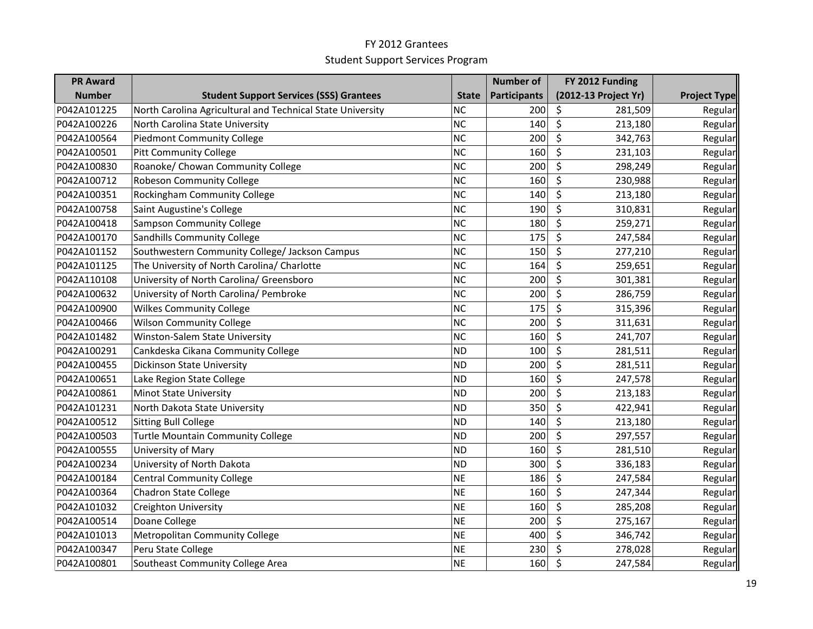| <b>PR Award</b> |                                                            |              | <b>Number of</b>    | FY 2012 Funding      |                     |
|-----------------|------------------------------------------------------------|--------------|---------------------|----------------------|---------------------|
| <b>Number</b>   | <b>Student Support Services (SSS) Grantees</b>             | <b>State</b> | <b>Participants</b> | (2012-13 Project Yr) | <b>Project Type</b> |
| P042A101225     | North Carolina Agricultural and Technical State University | <b>NC</b>    | 200                 | \$<br>281,509        | Regular             |
| P042A100226     | North Carolina State University                            | <b>NC</b>    | 140                 | \$<br>213,180        | Regular             |
| P042A100564     | <b>Piedmont Community College</b>                          | <b>NC</b>    | 200                 | \$<br>342,763        | Regular             |
| P042A100501     | <b>Pitt Community College</b>                              | <b>NC</b>    | 160                 | $\zeta$<br>231,103   | Regular             |
| P042A100830     | Roanoke/ Chowan Community College                          | <b>NC</b>    | 200                 | \$<br>298,249        | Regular             |
| P042A100712     | <b>Robeson Community College</b>                           | <b>NC</b>    | 160                 | \$<br>230,988        | Regular             |
| P042A100351     | Rockingham Community College                               | <b>NC</b>    | 140                 | \$<br>213,180        | Regular             |
| P042A100758     | Saint Augustine's College                                  | <b>NC</b>    | 190                 | \$<br>310,831        | Regular             |
| P042A100418     | <b>Sampson Community College</b>                           | <b>NC</b>    | 180                 | \$<br>259,271        | Regular             |
| P042A100170     | <b>Sandhills Community College</b>                         | <b>NC</b>    | 175                 | \$<br>247,584        | Regular             |
| P042A101152     | Southwestern Community College/ Jackson Campus             | <b>NC</b>    | 150                 | \$<br>277,210        | Regular             |
| P042A101125     | The University of North Carolina/ Charlotte                | <b>NC</b>    | 164                 | \$<br>259,651        | Regular             |
| P042A110108     | University of North Carolina/ Greensboro                   | <b>NC</b>    | 200                 | \$<br>301,381        | Regular             |
| P042A100632     | University of North Carolina/ Pembroke                     | <b>NC</b>    | 200                 | \$<br>286,759        | Regular             |
| P042A100900     | <b>Wilkes Community College</b>                            | <b>NC</b>    | 175                 | \$<br>315,396        | Regular             |
| P042A100466     | <b>Wilson Community College</b>                            | <b>NC</b>    | 200                 | \$<br>311,631        | Regular             |
| P042A101482     | Winston-Salem State University                             | <b>NC</b>    | 160                 | \$<br>241,707        | Regular             |
| P042A100291     | Cankdeska Cikana Community College                         | <b>ND</b>    | 100                 | \$<br>281,511        | Regular             |
| P042A100455     | <b>Dickinson State University</b>                          | <b>ND</b>    | 200                 | \$<br>281,511        | Regular             |
| P042A100651     | Lake Region State College                                  | <b>ND</b>    | 160                 | \$<br>247,578        | Regular             |
| P042A100861     | <b>Minot State University</b>                              | <b>ND</b>    | 200                 | \$<br>213,183        | Regular             |
| P042A101231     | North Dakota State University                              | <b>ND</b>    | 350                 | \$<br>422,941        | Regular             |
| P042A100512     | Sitting Bull College                                       | <b>ND</b>    | 140                 | \$<br>213,180        | Regular             |
| P042A100503     | <b>Turtle Mountain Community College</b>                   | <b>ND</b>    | 200                 | \$<br>297,557        | Regular             |
| P042A100555     | University of Mary                                         | <b>ND</b>    | 160                 | \$<br>281,510        | Regular             |
| P042A100234     | University of North Dakota                                 | <b>ND</b>    | 300                 | \$<br>336,183        | Regular             |
| P042A100184     | <b>Central Community College</b>                           | <b>NE</b>    | 186                 | \$<br>247,584        | Regular             |
| P042A100364     | <b>Chadron State College</b>                               | <b>NE</b>    | 160                 | \$<br>247,344        | Regular             |
| P042A101032     | <b>Creighton University</b>                                | <b>NE</b>    | 160                 | \$<br>285,208        | Regular             |
| P042A100514     | Doane College                                              | <b>NE</b>    | 200                 | \$<br>275,167        | Regular             |
| P042A101013     | Metropolitan Community College                             | <b>NE</b>    | 400                 | \$<br>346,742        | Regular             |
| P042A100347     | Peru State College                                         | <b>NE</b>    | 230                 | \$<br>278,028        | Regular             |
| P042A100801     | Southeast Community College Area                           | <b>NE</b>    | 160                 | $\zeta$<br>247,584   | Regular             |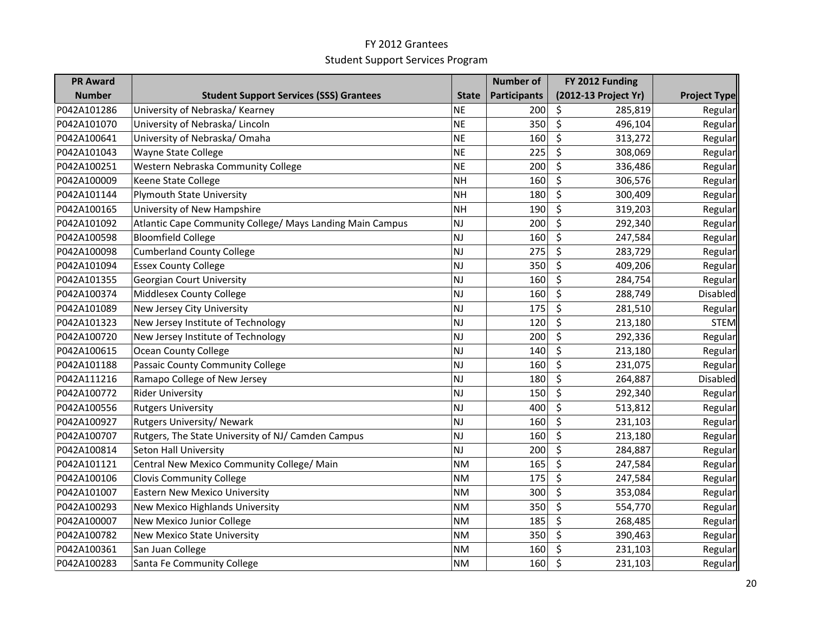| <b>PR Award</b> |                                                           |              | <b>Number of</b>    | FY 2012 Funding      |                     |
|-----------------|-----------------------------------------------------------|--------------|---------------------|----------------------|---------------------|
| <b>Number</b>   | <b>Student Support Services (SSS) Grantees</b>            | <b>State</b> | <b>Participants</b> | (2012-13 Project Yr) | <b>Project Type</b> |
| P042A101286     | University of Nebraska/ Kearney                           | <b>NE</b>    | 200                 | \$<br>285,819        | Regular             |
| P042A101070     | University of Nebraska/ Lincoln                           | <b>NE</b>    | 350                 | \$<br>496,104        | Regular             |
| P042A100641     | University of Nebraska/Omaha                              | <b>NE</b>    | 160                 | \$<br>313,272        | Regular             |
| P042A101043     | Wayne State College                                       | <b>NE</b>    | 225                 | \$<br>308,069        | Regular             |
| P042A100251     | Western Nebraska Community College                        | <b>NE</b>    | 200                 | \$<br>336,486        | Regular             |
| P042A100009     | Keene State College                                       | <b>NH</b>    | 160                 | \$<br>306,576        | Regular             |
| P042A101144     | <b>Plymouth State University</b>                          | <b>NH</b>    | 180                 | \$<br>300,409        | Regular             |
| P042A100165     | University of New Hampshire                               | <b>NH</b>    | 190                 | \$<br>319,203        | Regular             |
| P042A101092     | Atlantic Cape Community College/ Mays Landing Main Campus | NJ           | 200                 | \$<br>292,340        | Regular             |
| P042A100598     | <b>Bloomfield College</b>                                 | NJ           | 160                 | \$<br>247,584        | Regular             |
| P042A100098     | <b>Cumberland County College</b>                          | <b>NJ</b>    | 275                 | \$<br>283,729        | Regular             |
| P042A101094     | <b>Essex County College</b>                               | NJ           | 350                 | \$<br>409,206        | Regular             |
| P042A101355     | Georgian Court University                                 | NJ           | 160                 | \$<br>284,754        | Regular             |
| P042A100374     | Middlesex County College                                  | NJ           | 160                 | \$<br>288,749        | <b>Disabled</b>     |
| P042A101089     | New Jersey City University                                | NJ           | 175                 | \$<br>281,510        | Regular             |
| P042A101323     | New Jersey Institute of Technology                        | <b>NJ</b>    | 120                 | \$<br>213,180        | <b>STEM</b>         |
| P042A100720     | New Jersey Institute of Technology                        | NJ           | 200                 | \$<br>292,336        | Regular             |
| P042A100615     | <b>Ocean County College</b>                               | <b>NJ</b>    | 140                 | \$<br>213,180        | Regular             |
| P042A101188     | Passaic County Community College                          | NJ           | 160                 | \$<br>231,075        | Regular             |
| P042A111216     | Ramapo College of New Jersey                              | NJ           | 180                 | \$<br>264,887        | Disabled            |
| P042A100772     | <b>Rider University</b>                                   | NJ           | 150                 | \$<br>292,340        | Regular             |
| P042A100556     | <b>Rutgers University</b>                                 | <b>NJ</b>    | 400                 | \$<br>513,812        | Regular             |
| P042A100927     | Rutgers University/ Newark                                | NJ           | 160                 | \$<br>231,103        | Regular             |
| P042A100707     | Rutgers, The State University of NJ/ Camden Campus        | NJ           | 160                 | \$<br>213,180        | Regular             |
| P042A100814     | Seton Hall University                                     | NJ           | 200                 | \$<br>284,887        | Regular             |
| P042A101121     | Central New Mexico Community College/ Main                | <b>NM</b>    | 165                 | \$<br>247,584        | Regular             |
| P042A100106     | <b>Clovis Community College</b>                           | <b>NM</b>    | 175                 | \$<br>247,584        | Regular             |
| P042A101007     | <b>Eastern New Mexico University</b>                      | <b>NM</b>    | 300                 | \$<br>353,084        | Regular             |
| P042A100293     | New Mexico Highlands University                           | <b>NM</b>    | 350                 | \$<br>554,770        | Regular             |
| P042A100007     | New Mexico Junior College                                 | <b>NM</b>    | 185                 | \$<br>268,485        | Regular             |
| P042A100782     | <b>New Mexico State University</b>                        | <b>NM</b>    | 350                 | \$<br>390,463        | Regular             |
| P042A100361     | San Juan College                                          | <b>NM</b>    | 160                 | \$<br>231,103        | Regular             |
| P042A100283     | Santa Fe Community College                                | <b>NM</b>    | 160                 | \$<br>231,103        | Regular             |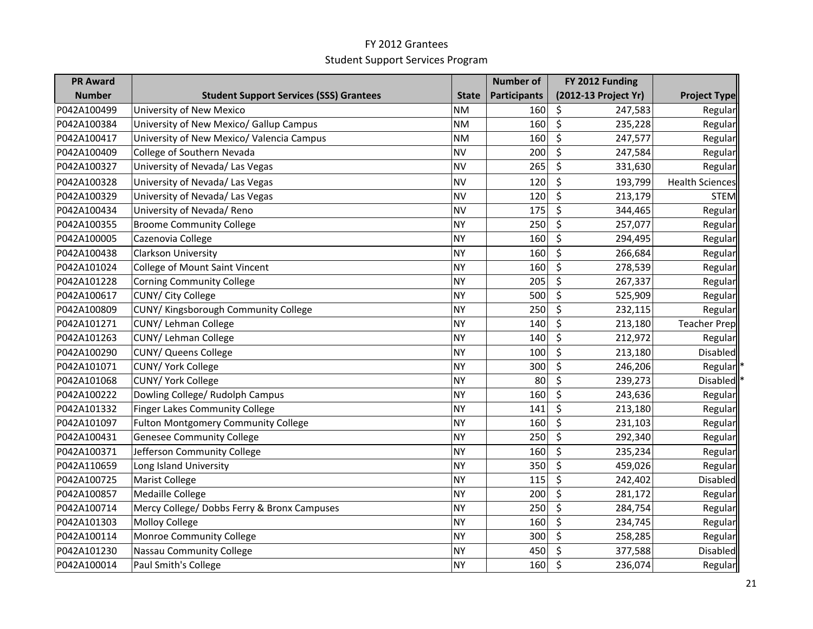| <b>PR Award</b> |                                                |              | <b>Number of</b>    | FY 2012 Funding      |                        |
|-----------------|------------------------------------------------|--------------|---------------------|----------------------|------------------------|
| <b>Number</b>   | <b>Student Support Services (SSS) Grantees</b> | <b>State</b> | <b>Participants</b> | (2012-13 Project Yr) | <b>Project Type</b>    |
| P042A100499     | University of New Mexico                       | <b>NM</b>    | 160                 | \$<br>247,583        | Regular                |
| P042A100384     | University of New Mexico/ Gallup Campus        | <b>NM</b>    | 160                 | $\zeta$<br>235,228   | Regular                |
| P042A100417     | University of New Mexico/ Valencia Campus      | <b>NM</b>    | 160                 | \$<br>247,577        | Regular                |
| P042A100409     | College of Southern Nevada                     | <b>NV</b>    | 200                 | \$<br>247,584        | Regular                |
| P042A100327     | University of Nevada/ Las Vegas                | <b>NV</b>    | 265                 | \$<br>331,630        | Regular                |
| P042A100328     | University of Nevada/ Las Vegas                | <b>NV</b>    | 120                 | \$<br>193,799        | <b>Health Sciences</b> |
| P042A100329     | University of Nevada/ Las Vegas                | <b>NV</b>    | 120                 | \$<br>213,179        | <b>STEM</b>            |
| P042A100434     | University of Nevada/ Reno                     | NV           | 175                 | \$<br>344,465        | Regular                |
| P042A100355     | <b>Broome Community College</b>                | NY)          | 250                 | \$<br>257,077        | Regular                |
| P042A100005     | Cazenovia College                              | NY)          | 160                 | \$<br>294,495        | Regular                |
| P042A100438     | <b>Clarkson University</b>                     | <b>NY</b>    | 160                 | $\zeta$<br>266,684   | Regular                |
| P042A101024     | <b>College of Mount Saint Vincent</b>          | <b>NY</b>    | 160                 | \$<br>278,539        | Regular                |
| P042A101228     | <b>Corning Community College</b>               | <b>NY</b>    | 205                 | \$<br>267,337        | Regular                |
| P042A100617     | CUNY/ City College                             | <b>NY</b>    | 500                 | \$<br>525,909        | Regular                |
| P042A100809     | CUNY/ Kingsborough Community College           | <b>NY</b>    | 250                 | \$<br>232,115        | Regular                |
| P042A101271     | CUNY/ Lehman College                           | NY)          | 140                 | \$<br>213,180        | <b>Teacher Prep</b>    |
| P042A101263     | CUNY/ Lehman College                           | <b>NY</b>    | 140                 | \$<br>212,972        | Regular                |
| P042A100290     | <b>CUNY/ Queens College</b>                    | <b>NY</b>    | 100                 | \$<br>213,180        | Disabled               |
| P042A101071     | CUNY/ York College                             | <b>NY</b>    | 300                 | \$<br>246,206        | Regular                |
| P042A101068     | CUNY/ York College                             | <b>NY</b>    | 80                  | \$<br>239,273        | Disabled               |
| P042A100222     | Dowling College/ Rudolph Campus                | <b>NY</b>    | 160                 | \$<br>243,636        | Regular                |
| P042A101332     | <b>Finger Lakes Community College</b>          | <b>NY</b>    | 141                 | \$<br>213,180        | Regular                |
| P042A101097     | <b>Fulton Montgomery Community College</b>     | NY)          | 160                 | \$<br>231,103        | Regular                |
| P042A100431     | <b>Genesee Community College</b>               | NY)          | 250                 | \$<br>292,340        | Regular                |
| P042A100371     | Jefferson Community College                    | <b>NY</b>    | 160                 | \$<br>235,234        | Regular                |
| P042A110659     | Long Island University                         | <b>NY</b>    | 350                 | $\zeta$<br>459,026   | Regular                |
| P042A100725     | Marist College                                 | <b>NY</b>    | 115                 | \$<br>242,402        | <b>Disabled</b>        |
| P042A100857     | Medaille College                               | <b>NY</b>    | 200                 | \$<br>281,172        | Regular                |
| P042A100714     | Mercy College/ Dobbs Ferry & Bronx Campuses    | NY)          | 250                 | \$<br>284,754        | Regular                |
| P042A101303     | <b>Molloy College</b>                          | <b>NY</b>    | 160                 | \$<br>234,745        | Regular                |
| P042A100114     | Monroe Community College                       | NY)          | 300                 | \$<br>258,285        | Regular                |
| P042A101230     | Nassau Community College                       | NY)          | 450                 | \$<br>377,588        | Disabled               |
| P042A100014     | Paul Smith's College                           | NY)          | 160                 | $\zeta$<br>236,074   | Regular                |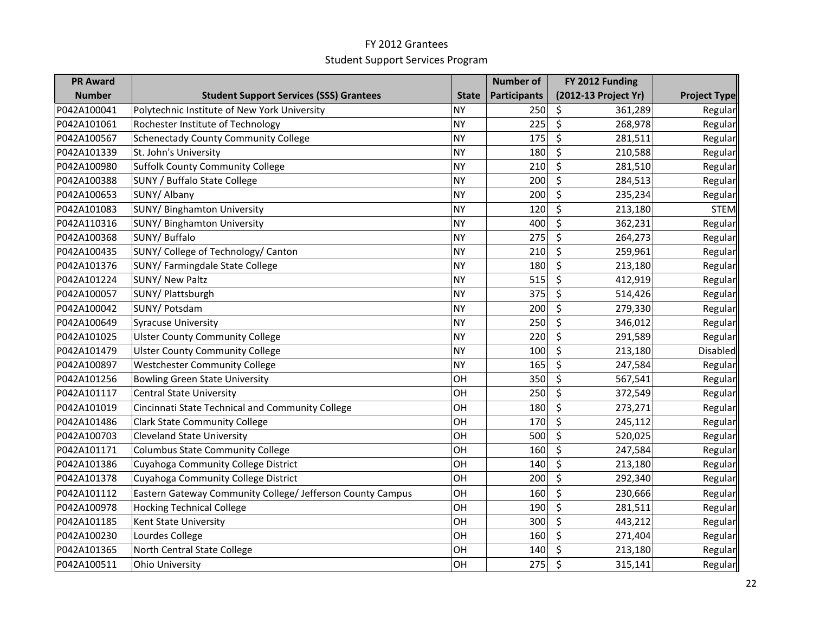| <b>PR Award</b> |                                                            |              | <b>Number of</b> | FY 2012 Funding      |                     |
|-----------------|------------------------------------------------------------|--------------|------------------|----------------------|---------------------|
| <b>Number</b>   | <b>Student Support Services (SSS) Grantees</b>             | <b>State</b> | Participants     | (2012-13 Project Yr) | <b>Project Type</b> |
| P042A100041     | Polytechnic Institute of New York University               | <b>NY</b>    | 250              | \$<br>361,289        | Regular             |
| P042A101061     | Rochester Institute of Technology                          | <b>NY</b>    | 225              | \$<br>268,978        | Regular             |
| P042A100567     | <b>Schenectady County Community College</b>                | <b>NY</b>    | 175              | \$<br>281,511        | Regular             |
| P042A101339     | St. John's University                                      | <b>NY</b>    | 180              | $\zeta$<br>210,588   | Regular             |
| P042A100980     | <b>Suffolk County Community College</b>                    | <b>NY</b>    | 210              | \$<br>281,510        | Regular             |
| P042A100388     | <b>SUNY / Buffalo State College</b>                        | <b>NY</b>    | 200              | \$<br>284,513        | Regular             |
| P042A100653     | SUNY/ Albany                                               | <b>NY</b>    | 200              | \$<br>235,234        | Regular             |
| P042A101083     | <b>SUNY/ Binghamton University</b>                         | <b>NY</b>    | 120              | \$<br>213,180        | <b>STEM</b>         |
| P042A110316     | <b>SUNY/ Binghamton University</b>                         | <b>NY</b>    | 400              | \$<br>362,231        | Regular             |
| P042A100368     | SUNY/ Buffalo                                              | <b>NY</b>    | 275              | \$<br>264,273        | Regular             |
| P042A100435     | SUNY/ College of Technology/ Canton                        | <b>NY</b>    | 210              | \$<br>259,961        | Regular             |
| P042A101376     | SUNY/ Farmingdale State College                            | <b>NY</b>    | 180              | \$<br>213,180        | Regular             |
| P042A101224     | <b>SUNY/ New Paltz</b>                                     | <b>NY</b>    | 515              | \$<br>412,919        | Regular             |
| P042A100057     | SUNY/ Plattsburgh                                          | <b>NY</b>    | 375              | \$<br>514,426        | Regular             |
| P042A100042     | SUNY/ Potsdam                                              | <b>NY</b>    | 200              | \$<br>279,330        | Regular             |
| P042A100649     | <b>Syracuse University</b>                                 | <b>NY</b>    | 250              | \$<br>346,012        | Regular             |
| P042A101025     | <b>Ulster County Community College</b>                     | <b>NY</b>    | 220              | \$<br>291,589        | Regular             |
| P042A101479     | <b>Ulster County Community College</b>                     | <b>NY</b>    | 100              | \$<br>213,180        | Disabled            |
| P042A100897     | <b>Westchester Community College</b>                       | <b>NY</b>    | 165              | \$<br>247,584        | Regular             |
| P042A101256     | <b>Bowling Green State University</b>                      | OH           | 350              | \$<br>567,541        | Regular             |
| P042A101117     | <b>Central State University</b>                            | OH           | 250              | \$<br>372,549        | Regular             |
| P042A101019     | Cincinnati State Technical and Community College           | OH           | 180              | \$<br>273,271        | Regular             |
| P042A101486     | <b>Clark State Community College</b>                       | OH           | 170              | \$<br>245,112        | Regular             |
| P042A100703     | <b>Cleveland State University</b>                          | OH           | 500              | $\zeta$<br>520,025   | Regular             |
| P042A101171     | Columbus State Community College                           | OH           | 160              | \$<br>247,584        | Regular             |
| P042A101386     | Cuyahoga Community College District                        | OH           | 140              | \$<br>213,180        | Regular             |
| P042A101378     | Cuyahoga Community College District                        | OH           | 200              | \$<br>292,340        | Regular             |
| P042A101112     | Eastern Gateway Community College/ Jefferson County Campus | OH           | 160              | \$<br>230,666        | Regular             |
| P042A100978     | <b>Hocking Technical College</b>                           | OH           | 190              | \$<br>281,511        | Regular             |
| P042A101185     | Kent State University                                      | OH           | 300              | \$<br>443,212        | Regular             |
| P042A100230     | Lourdes College                                            | OH           | 160              | $\zeta$<br>271,404   | Regular             |
| P042A101365     | North Central State College                                | OH           | 140              | \$<br>213,180        | Regular             |
| P042A100511     | <b>Ohio University</b>                                     | OH           | 275              | \$<br>315,141        | Regular             |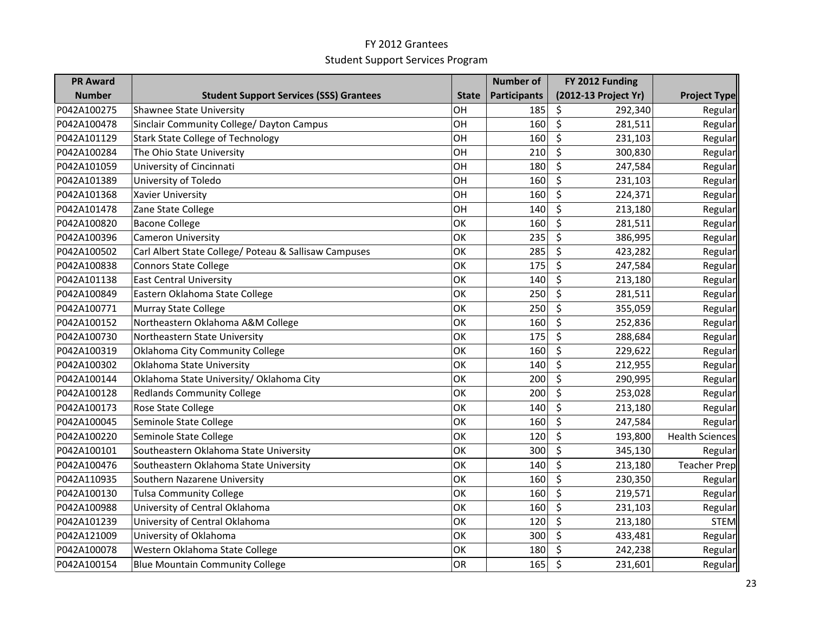| <b>PR Award</b> |                                                       |              | <b>Number of</b>    | FY 2012 Funding                            |                        |
|-----------------|-------------------------------------------------------|--------------|---------------------|--------------------------------------------|------------------------|
| <b>Number</b>   | <b>Student Support Services (SSS) Grantees</b>        | <b>State</b> | <b>Participants</b> | (2012-13 Project Yr)                       | <b>Project Type</b>    |
| P042A100275     | <b>Shawnee State University</b>                       | OH           | 185                 | \$<br>292,340                              | Regular                |
| P042A100478     | Sinclair Community College/ Dayton Campus             | OH           | 160                 | \$<br>281,511                              | Regular                |
| P042A101129     | <b>Stark State College of Technology</b>              | OH           | 160                 | \$<br>231,103                              | Regular                |
| P042A100284     | The Ohio State University                             | OH           | 210                 | \$<br>300,830                              | Regular                |
| P042A101059     | University of Cincinnati                              | OH           | 180                 | \$<br>247,584                              | Regular                |
| P042A101389     | University of Toledo                                  | OH           | 160                 | \$<br>231,103                              | Regular                |
| P042A101368     | <b>Xavier University</b>                              | OH           | 160                 | \$<br>224,371                              | Regular                |
| P042A101478     | Zane State College                                    | OH           | 140                 | \$<br>213,180                              | Regular                |
| P042A100820     | <b>Bacone College</b>                                 | OK           | 160                 | \$<br>281,511                              | Regular                |
| P042A100396     | <b>Cameron University</b>                             | OK           | 235                 | \$<br>386,995                              | Regular                |
| P042A100502     | Carl Albert State College/ Poteau & Sallisaw Campuses | OK           | 285                 | \$<br>423,282                              | Regular                |
| P042A100838     | <b>Connors State College</b>                          | OK           | 175                 | $\overline{\boldsymbol{\zeta}}$<br>247,584 | Regular                |
| P042A101138     | <b>East Central University</b>                        | OK           | 140                 | \$<br>213,180                              | Regular                |
| P042A100849     | Eastern Oklahoma State College                        | OK           | 250                 | \$<br>281,511                              | Regular                |
| P042A100771     | <b>Murray State College</b>                           | OK           | 250                 | \$<br>355,059                              | Regular                |
| P042A100152     | Northeastern Oklahoma A&M College                     | OK           | 160                 | \$<br>252,836                              | Regular                |
| P042A100730     | Northeastern State University                         | OK           | 175                 | \$<br>288,684                              | Regular                |
| P042A100319     | Oklahoma City Community College                       | OK           | 160                 | \$<br>229,622                              | Regular                |
| P042A100302     | Oklahoma State University                             | OK           | 140                 | \$<br>212,955                              | Regular                |
| P042A100144     | Oklahoma State University/ Oklahoma City              | OK           | 200                 | \$<br>290,995                              | Regular                |
| P042A100128     | <b>Redlands Community College</b>                     | OK           | 200                 | \$<br>253,028                              | Regular                |
| P042A100173     | Rose State College                                    | OK           | 140                 | \$<br>213,180                              | Regular                |
| P042A100045     | Seminole State College                                | OK           | 160                 | \$<br>247,584                              | Regular                |
| P042A100220     | Seminole State College                                | OK           | 120                 | \$<br>193,800                              | <b>Health Sciences</b> |
| P042A100101     | Southeastern Oklahoma State University                | OK           | 300                 | \$<br>345,130                              | Regular                |
| P042A100476     | Southeastern Oklahoma State University                | OK           | 140                 | \$<br>213,180                              | <b>Teacher Prep</b>    |
| P042A110935     | Southern Nazarene University                          | OK           | 160                 | \$<br>230,350                              | Regular                |
| P042A100130     | <b>Tulsa Community College</b>                        | OK           | 160                 | \$<br>219,571                              | Regular                |
| P042A100988     | University of Central Oklahoma                        | OK           | 160                 | \$<br>231,103                              | Regular                |
| P042A101239     | University of Central Oklahoma                        | OK           | 120                 | \$<br>213,180                              | <b>STEM</b>            |
| P042A121009     | University of Oklahoma                                | OK           | 300                 | \$<br>433,481                              | Regular                |
| P042A100078     | Western Oklahoma State College                        | OK           | 180                 | \$<br>242,238                              | Regular                |
| P042A100154     | <b>Blue Mountain Community College</b>                | OR           | 165                 | \$<br>231,601                              | Regular                |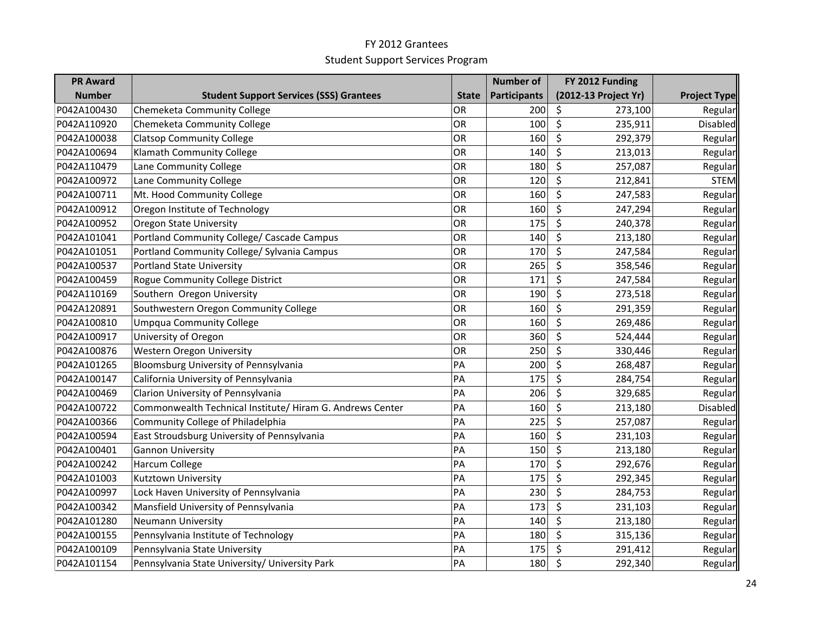| <b>PR Award</b> |                                                           |              | <b>Number of</b>    | FY 2012 Funding      |                     |
|-----------------|-----------------------------------------------------------|--------------|---------------------|----------------------|---------------------|
| <b>Number</b>   | <b>Student Support Services (SSS) Grantees</b>            | <b>State</b> | <b>Participants</b> | (2012-13 Project Yr) | <b>Project Type</b> |
| P042A100430     | Chemeketa Community College                               | OR           | 200                 | \$<br>273,100        | Regular             |
| P042A110920     | Chemeketa Community College                               | OR           | 100                 | \$<br>235,911        | Disabled            |
| P042A100038     | <b>Clatsop Community College</b>                          | OR           | 160                 | \$<br>292,379        | Regular             |
| P042A100694     | Klamath Community College                                 | OR           | 140                 | \$<br>213,013        | Regular             |
| P042A110479     | Lane Community College                                    | OR           | 180                 | \$<br>257,087        | Regular             |
| P042A100972     | Lane Community College                                    | OR           | 120                 | \$<br>212,841        | <b>STEM</b>         |
| P042A100711     | Mt. Hood Community College                                | OR           | 160                 | \$<br>247,583        | Regular             |
| P042A100912     | Oregon Institute of Technology                            | OR           | 160                 | \$<br>247,294        | Regular             |
| P042A100952     | <b>Oregon State University</b>                            | OR           | 175                 | \$<br>240,378        | Regular             |
| P042A101041     | Portland Community College/ Cascade Campus                | OR           | 140                 | \$<br>213,180        | Regular             |
| P042A101051     | Portland Community College/ Sylvania Campus               | OR           | 170                 | \$<br>247,584        | Regular             |
| P042A100537     | <b>Portland State University</b>                          | OR           | 265                 | \$<br>358,546        | Regular             |
| P042A100459     | Rogue Community College District                          | OR           | 171                 | \$<br>247,584        | Regular             |
| P042A110169     | Southern Oregon University                                | OR           | 190                 | \$<br>273,518        | Regular             |
| P042A120891     | Southwestern Oregon Community College                     | OR           | 160                 | \$<br>291,359        | Regular             |
| P042A100810     | <b>Umpqua Community College</b>                           | OR           | 160                 | \$<br>269,486        | Regular             |
| P042A100917     | University of Oregon                                      | OR           | 360                 | $\zeta$<br>524,444   | Regular             |
| P042A100876     | Western Oregon University                                 | OR           | 250                 | \$<br>330,446        | Regular             |
| P042A101265     | Bloomsburg University of Pennsylvania                     | PA           | 200                 | \$<br>268,487        | Regular             |
| P042A100147     | California University of Pennsylvania                     | PA           | 175                 | \$<br>284,754        | Regular             |
| P042A100469     | Clarion University of Pennsylvania                        | PA           | 206                 | \$<br>329,685        | Regular             |
| P042A100722     | Commonwealth Technical Institute/ Hiram G. Andrews Center | PA           | 160                 | \$<br>213,180        | <b>Disabled</b>     |
| P042A100366     | Community College of Philadelphia                         | PA           | 225                 | \$<br>257,087        | Regular             |
| P042A100594     | East Stroudsburg University of Pennsylvania               | PA           | 160                 | \$<br>231,103        | Regular             |
| P042A100401     | <b>Gannon University</b>                                  | PA           | 150                 | \$<br>213,180        | Regular             |
| P042A100242     | <b>Harcum College</b>                                     | PA           | 170                 | \$<br>292,676        | Regular             |
| P042A101003     | Kutztown University                                       | PA           | 175                 | \$<br>292,345        | Regular             |
| P042A100997     | Lock Haven University of Pennsylvania                     | PA           | 230                 | \$<br>284,753        | Regular             |
| P042A100342     | Mansfield University of Pennsylvania                      | PA           | 173                 | \$<br>231,103        | Regular             |
| P042A101280     | <b>Neumann University</b>                                 | PA           | 140                 | \$<br>213,180        | Regular             |
| P042A100155     | Pennsylvania Institute of Technology                      | PA           | 180                 | \$<br>315,136        | Regular             |
| P042A100109     | Pennsylvania State University                             | PA           | 175                 | \$<br>291,412        | Regular             |
| P042A101154     | Pennsylvania State University/ University Park            | PA           | 180                 | $\zeta$<br>292,340   | Regular             |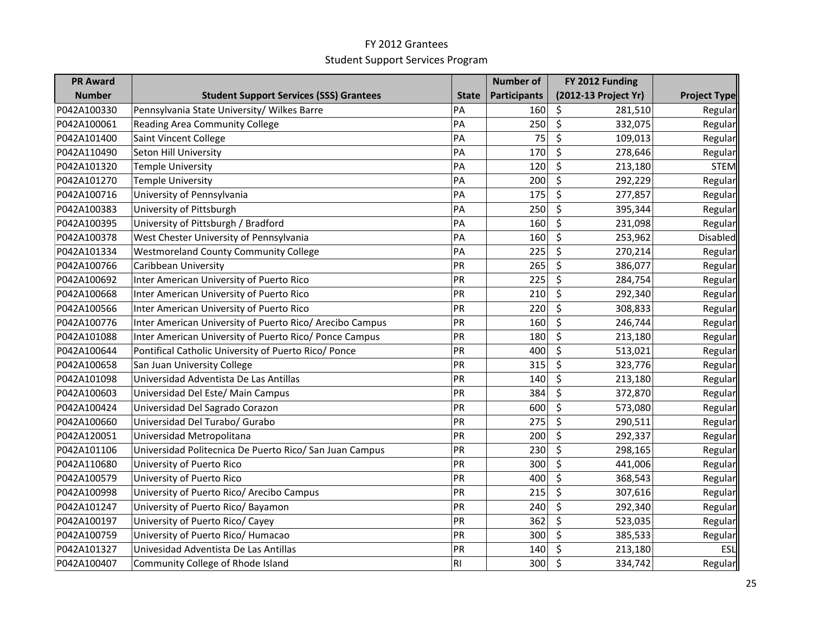| <b>PR Award</b> |                                                          |              | <b>Number of</b>    | FY 2012 Funding      |                     |
|-----------------|----------------------------------------------------------|--------------|---------------------|----------------------|---------------------|
| <b>Number</b>   | <b>Student Support Services (SSS) Grantees</b>           | <b>State</b> | <b>Participants</b> | (2012-13 Project Yr) | <b>Project Type</b> |
| P042A100330     | Pennsylvania State University/ Wilkes Barre              | PA           | 160                 | \$<br>281,510        | Regular             |
| P042A100061     | Reading Area Community College                           | PA           | 250                 | \$<br>332,075        | Regular             |
| P042A101400     | Saint Vincent College                                    | PA           | 75                  | \$<br>109,013        | Regular             |
| P042A110490     | Seton Hill University                                    | PA           | 170                 | \$<br>278,646        | Regular             |
| P042A101320     | <b>Temple University</b>                                 | PA           | 120                 | \$<br>213,180        | <b>STEM</b>         |
| P042A101270     | <b>Temple University</b>                                 | PA           | 200                 | \$<br>292,229        | Regular             |
| P042A100716     | University of Pennsylvania                               | PA           | 175                 | \$<br>277,857        | Regular             |
| P042A100383     | University of Pittsburgh                                 | PA           | 250                 | \$<br>395,344        | Regular             |
| P042A100395     | University of Pittsburgh / Bradford                      | PA           | 160                 | \$<br>231,098        | Regular             |
| P042A100378     | West Chester University of Pennsylvania                  | PA           | 160                 | \$<br>253,962        | <b>Disabled</b>     |
| P042A101334     | <b>Westmoreland County Community College</b>             | PA           | 225                 | \$<br>270,214        | Regular             |
| P042A100766     | Caribbean University                                     | PR           | 265                 | \$<br>386,077        | Regular             |
| P042A100692     | Inter American University of Puerto Rico                 | PR           | 225                 | \$<br>284,754        | Regular             |
| P042A100668     | Inter American University of Puerto Rico                 | PR           | 210                 | \$<br>292,340        | Regular             |
| P042A100566     | Inter American University of Puerto Rico                 | PR           | 220                 | \$<br>308,833        | Regular             |
| P042A100776     | Inter American University of Puerto Rico/ Arecibo Campus | PR           | 160                 | \$<br>246,744        | Regular             |
| P042A101088     | Inter American University of Puerto Rico/ Ponce Campus   | PR           | 180                 | \$<br>213,180        | Regular             |
| P042A100644     | Pontifical Catholic University of Puerto Rico/ Ponce     | PR           | 400                 | \$<br>513,021        | Regular             |
| P042A100658     | San Juan University College                              | PR           | 315                 | \$<br>323,776        | Regular             |
| P042A101098     | Universidad Adventista De Las Antillas                   | PR           | 140                 | \$<br>213,180        | Regular             |
| P042A100603     | Universidad Del Este/ Main Campus                        | PR           | 384                 | \$<br>372,870        | Regular             |
| P042A100424     | Universidad Del Sagrado Corazon                          | PR           | 600                 | \$<br>573,080        | Regular             |
| P042A100660     | Universidad Del Turabo/ Gurabo                           | PR           | 275                 | \$<br>290,511        | Regular             |
| P042A120051     | Universidad Metropolitana                                | PR           | 200                 | \$<br>292,337        | Regular             |
| P042A101106     | Universidad Politecnica De Puerto Rico/ San Juan Campus  | PR           | 230                 | \$<br>298,165        | Regular             |
| P042A110680     | University of Puerto Rico                                | PR           | 300                 | \$<br>441,006        | Regular             |
| P042A100579     | University of Puerto Rico                                | PR           | 400                 | \$<br>368,543        | Regular             |
| P042A100998     | University of Puerto Rico/ Arecibo Campus                | PR           | 215                 | \$<br>307,616        | Regular             |
| P042A101247     | University of Puerto Rico/ Bayamon                       | PR           | 240                 | \$<br>292,340        | Regular             |
| P042A100197     | University of Puerto Rico/ Cayey                         | PR           | 362                 | \$<br>523,035        | Regular             |
| P042A100759     | University of Puerto Rico/ Humacao                       | PR           | 300                 | \$<br>385,533        | Regular             |
| P042A101327     | Univesidad Adventista De Las Antillas                    | PR           | 140                 | \$<br>213,180        | <b>ESL</b>          |
| P042A100407     | Community College of Rhode Island                        | R1           | 300                 | $\zeta$<br>334,742   | Regular             |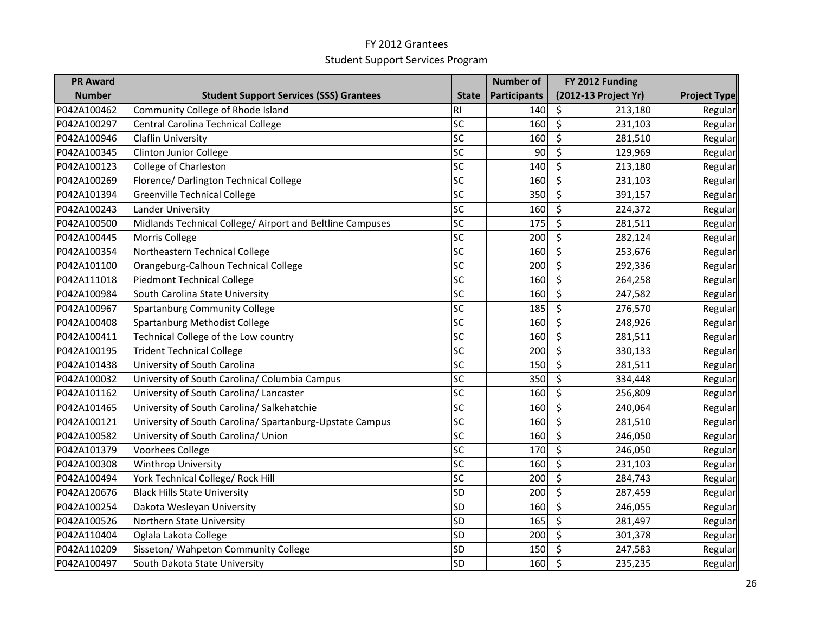| <b>PR Award</b> |                                                           |              | <b>Number of</b>    | FY 2012 Funding      |                     |
|-----------------|-----------------------------------------------------------|--------------|---------------------|----------------------|---------------------|
| <b>Number</b>   | <b>Student Support Services (SSS) Grantees</b>            | <b>State</b> | <b>Participants</b> | (2012-13 Project Yr) | <b>Project Type</b> |
| P042A100462     | Community College of Rhode Island                         | R1           | 140                 | \$<br>213,180        | Regular             |
| P042A100297     | Central Carolina Technical College                        | SC           | 160                 | \$<br>231,103        | Regular             |
| P042A100946     | <b>Claflin University</b>                                 | SC           | 160                 | \$<br>281,510        | Regular             |
| P042A100345     | <b>Clinton Junior College</b>                             | SC           | 90                  | \$<br>129,969        | Regular             |
| P042A100123     | College of Charleston                                     | SC           | 140                 | \$<br>213,180        | Regular             |
| P042A100269     | Florence/ Darlington Technical College                    | SC           | 160                 | \$<br>231,103        | Regular             |
| P042A101394     | <b>Greenville Technical College</b>                       | SC           | 350                 | \$<br>391,157        | Regular             |
| P042A100243     | Lander University                                         | SC           | 160                 | \$<br>224,372        | Regular             |
| P042A100500     | Midlands Technical College/ Airport and Beltline Campuses | SC           | 175                 | \$<br>281,511        | Regular             |
| P042A100445     | Morris College                                            | SC           | 200                 | \$<br>282,124        | Regular             |
| P042A100354     | Northeastern Technical College                            | SC           | 160                 | \$<br>253,676        | Regular             |
| P042A101100     | Orangeburg-Calhoun Technical College                      | SC           | 200                 | \$<br>292,336        | Regular             |
| P042A111018     | <b>Piedmont Technical College</b>                         | SC           | 160                 | \$<br>264,258        | Regular             |
| P042A100984     | South Carolina State University                           | SC           | 160                 | \$<br>247,582        | Regular             |
| P042A100967     | Spartanburg Community College                             | SC           | 185                 | \$<br>276,570        | Regular             |
| P042A100408     | Spartanburg Methodist College                             | SC           | 160                 | \$<br>248,926        | Regular             |
| P042A100411     | Technical College of the Low country                      | SC           | 160                 | \$<br>281,511        | Regular             |
| P042A100195     | <b>Trident Technical College</b>                          | SC           | 200                 | \$<br>330,133        | Regular             |
| P042A101438     | University of South Carolina                              | SC           | 150                 | \$<br>281,511        | Regular             |
| P042A100032     | University of South Carolina/ Columbia Campus             | SC           | 350                 | \$<br>334,448        | Regular             |
| P042A101162     | University of South Carolina/ Lancaster                   | SC           | 160                 | \$<br>256,809        | Regular             |
| P042A101465     | University of South Carolina/ Salkehatchie                | SC           | 160                 | \$<br>240,064        | Regular             |
| P042A100121     | University of South Carolina/ Spartanburg-Upstate Campus  | SC           | 160                 | \$<br>281,510        | Regular             |
| P042A100582     | University of South Carolina/ Union                       | SC           | 160                 | \$<br>246,050        | Regular             |
| P042A101379     | Voorhees College                                          | SC           | 170                 | \$<br>246,050        | Regular             |
| P042A100308     | <b>Winthrop University</b>                                | SC           | 160                 | \$<br>231,103        | Regular             |
| P042A100494     | York Technical College/ Rock Hill                         | SC           | 200                 | \$<br>284,743        | Regular             |
| P042A120676     | <b>Black Hills State University</b>                       | SD           | 200                 | \$<br>287,459        | Regular             |
| P042A100254     | Dakota Wesleyan University                                | SD           | 160                 | \$<br>246,055        | Regular             |
| P042A100526     | Northern State University                                 | SD           | 165                 | \$<br>281,497        | Regular             |
| P042A110404     | Oglala Lakota College                                     | SD           | 200                 | \$<br>301,378        | Regular             |
| P042A110209     | Sisseton/ Wahpeton Community College                      | SD           | 150                 | \$<br>247,583        | Regular             |
| P042A100497     | South Dakota State University                             | SD           | 160                 | \$<br>235,235        | Regular             |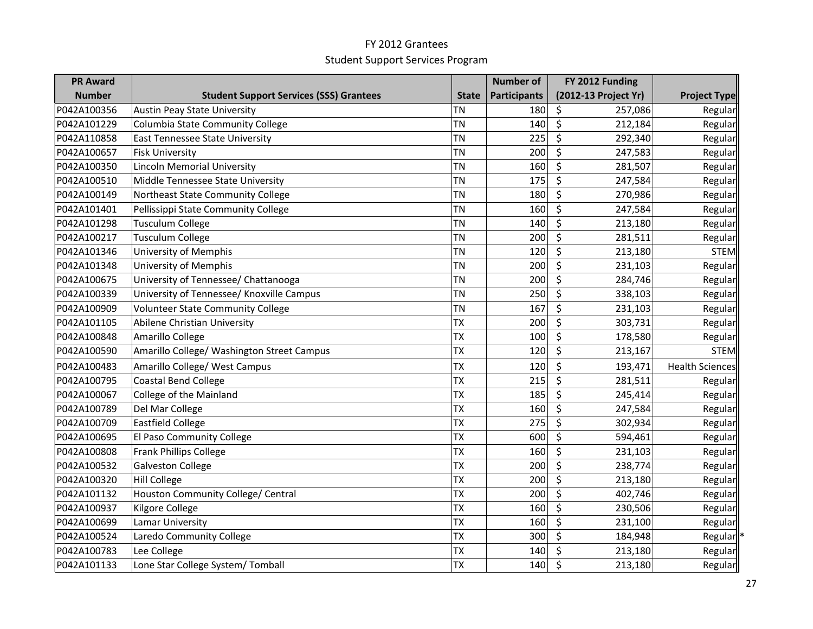| <b>PR Award</b> |                                                |              | <b>Number of</b>    | FY 2012 Funding      |                        |
|-----------------|------------------------------------------------|--------------|---------------------|----------------------|------------------------|
| <b>Number</b>   | <b>Student Support Services (SSS) Grantees</b> | <b>State</b> | <b>Participants</b> | (2012-13 Project Yr) | <b>Project Type</b>    |
| P042A100356     | <b>Austin Peay State University</b>            | <b>TN</b>    | 180                 | \$<br>257,086        | Regular                |
| P042A101229     | Columbia State Community College               | <b>TN</b>    | 140                 | $\zeta$<br>212,184   | Regular                |
| P042A110858     | <b>East Tennessee State University</b>         | <b>TN</b>    | 225                 | \$<br>292,340        | Regular                |
| P042A100657     | <b>Fisk University</b>                         | <b>TN</b>    | 200                 | \$<br>247,583        | Regular                |
| P042A100350     | <b>Lincoln Memorial University</b>             | <b>TN</b>    | 160                 | \$<br>281,507        | Regular                |
| P042A100510     | Middle Tennessee State University              | <b>TN</b>    | 175                 | \$<br>247,584        | Regular                |
| P042A100149     | Northeast State Community College              | <b>TN</b>    | 180                 | \$<br>270,986        | Regular                |
| P042A101401     | Pellissippi State Community College            | <b>TN</b>    | 160                 | \$<br>247,584        | Regular                |
| P042A101298     | <b>Tusculum College</b>                        | <b>TN</b>    | 140                 | \$<br>213,180        | Regular                |
| P042A100217     | <b>Tusculum College</b>                        | <b>TN</b>    | 200                 | \$<br>281,511        | Regular                |
| P042A101346     | <b>University of Memphis</b>                   | <b>TN</b>    | 120                 | \$<br>213,180        | <b>STEM</b>            |
| P042A101348     | <b>University of Memphis</b>                   | <b>TN</b>    | 200                 | \$<br>231,103        | Regular                |
| P042A100675     | University of Tennessee/ Chattanooga           | <b>TN</b>    | 200                 | \$<br>284,746        | Regular                |
| P042A100339     | University of Tennessee/ Knoxville Campus      | <b>TN</b>    | 250                 | \$<br>338,103        | Regular                |
| P042A100909     | <b>Volunteer State Community College</b>       | <b>TN</b>    | 167                 | \$<br>231,103        | Regular                |
| P042A101105     | Abilene Christian University                   | <b>TX</b>    | 200                 | \$<br>303,731        | Regular                |
| P042A100848     | Amarillo College                               | <b>TX</b>    | 100                 | \$<br>178,580        | Regular                |
| P042A100590     | Amarillo College/ Washington Street Campus     | <b>TX</b>    | 120                 | \$<br>213,167        | <b>STEM</b>            |
| P042A100483     | Amarillo College/ West Campus                  | <b>TX</b>    | 120                 | \$<br>193,471        | <b>Health Sciences</b> |
| P042A100795     | <b>Coastal Bend College</b>                    | <b>TX</b>    | 215                 | \$<br>281,511        | Regular                |
| P042A100067     | College of the Mainland                        | <b>TX</b>    | 185                 | \$<br>245,414        | Regular                |
| P042A100789     | Del Mar College                                | <b>TX</b>    | 160                 | \$<br>247,584        | Regular                |
| P042A100709     | <b>Eastfield College</b>                       | <b>TX</b>    | 275                 | \$<br>302,934        | Regular                |
| P042A100695     | El Paso Community College                      | <b>TX</b>    | 600                 | \$<br>594,461        | Regular                |
| P042A100808     | <b>Frank Phillips College</b>                  | <b>TX</b>    | 160                 | \$<br>231,103        | Regular                |
| P042A100532     | <b>Galveston College</b>                       | <b>TX</b>    | 200                 | \$<br>238,774        | Regular                |
| P042A100320     | <b>Hill College</b>                            | <b>TX</b>    | 200                 | \$<br>213,180        | Regular                |
| P042A101132     | Houston Community College/ Central             | <b>TX</b>    | 200                 | \$<br>402,746        | Regular                |
| P042A100937     | Kilgore College                                | <b>TX</b>    | 160                 | \$<br>230,506        | Regular                |
| P042A100699     | Lamar University                               | <b>TX</b>    | 160                 | \$<br>231,100        | Regular                |
| P042A100524     | Laredo Community College                       | <b>TX</b>    | 300                 | \$<br>184,948        | Regular                |
| P042A100783     | Lee College                                    | <b>TX</b>    | 140                 | \$<br>213,180        | Regular                |
| P042A101133     | Lone Star College System/Tomball               | <b>TX</b>    | 140                 | $\zeta$<br>213,180   | Regular                |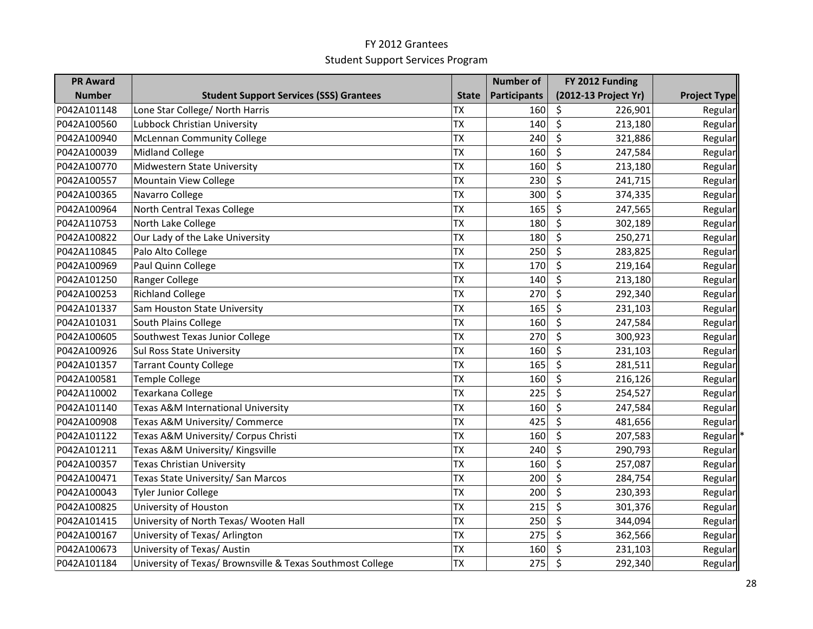| <b>PR Award</b> |                                                            |              | <b>Number of</b>    | FY 2012 Funding      |                     |
|-----------------|------------------------------------------------------------|--------------|---------------------|----------------------|---------------------|
| <b>Number</b>   | <b>Student Support Services (SSS) Grantees</b>             | <b>State</b> | <b>Participants</b> | (2012-13 Project Yr) | <b>Project Type</b> |
| P042A101148     | Lone Star College/ North Harris                            | <b>TX</b>    | 160                 | \$<br>226,901        | Regular             |
| P042A100560     | Lubbock Christian University                               | <b>TX</b>    | 140                 | $\zeta$<br>213,180   | Regular             |
| P042A100940     | <b>McLennan Community College</b>                          | <b>TX</b>    | 240                 | \$<br>321,886        | Regular             |
| P042A100039     | <b>Midland College</b>                                     | <b>TX</b>    | 160                 | \$<br>247,584        | Regular             |
| P042A100770     | Midwestern State University                                | <b>TX</b>    | 160                 | \$<br>213,180        | Regular             |
| P042A100557     | Mountain View College                                      | <b>TX</b>    | 230                 | \$<br>241,715        | Regular             |
| P042A100365     | Navarro College                                            | <b>TX</b>    | 300                 | \$<br>374,335        | Regular             |
| P042A100964     | North Central Texas College                                | <b>TX</b>    | 165                 | \$<br>247,565        | Regular             |
| P042A110753     | North Lake College                                         | <b>TX</b>    | 180                 | \$<br>302,189        | Regular             |
| P042A100822     | Our Lady of the Lake University                            | <b>TX</b>    | 180                 | \$<br>250,271        | Regular             |
| P042A110845     | Palo Alto College                                          | <b>TX</b>    | 250                 | \$<br>283,825        | Regular             |
| P042A100969     | Paul Quinn College                                         | <b>TX</b>    | 170                 | \$<br>219,164        | Regular             |
| P042A101250     | Ranger College                                             | <b>TX</b>    | 140                 | \$<br>213,180        | Regular             |
| P042A100253     | <b>Richland College</b>                                    | <b>TX</b>    | 270                 | \$<br>292,340        | Regular             |
| P042A101337     | Sam Houston State University                               | <b>TX</b>    | 165                 | \$<br>231,103        | Regular             |
| P042A101031     | South Plains College                                       | <b>TX</b>    | 160                 | \$<br>247,584        | Regular             |
| P042A100605     | Southwest Texas Junior College                             | <b>TX</b>    | 270                 | \$<br>300,923        | Regular             |
| P042A100926     | Sul Ross State University                                  | <b>TX</b>    | 160                 | \$<br>231,103        | Regular             |
| P042A101357     | <b>Tarrant County College</b>                              | <b>TX</b>    | 165                 | \$<br>281,511        | Regular             |
| P042A100581     | <b>Temple College</b>                                      | <b>TX</b>    | 160                 | \$<br>216,126        | Regular             |
| P042A110002     | Texarkana College                                          | <b>TX</b>    | 225                 | \$<br>254,527        | Regular             |
| P042A101140     | Texas A&M International University                         | <b>TX</b>    | 160                 | \$<br>247,584        | Regular             |
| P042A100908     | Texas A&M University/ Commerce                             | <b>TX</b>    | 425                 | \$<br>481,656        | Regular             |
| P042A101122     | Texas A&M University/ Corpus Christi                       | <b>TX</b>    | 160                 | \$<br>207,583        | Regular             |
| P042A101211     | Texas A&M University/ Kingsville                           | <b>TX</b>    | 240                 | \$<br>290,793        | Regular             |
| P042A100357     | <b>Texas Christian University</b>                          | <b>TX</b>    | 160                 | \$<br>257,087        | Regular             |
| P042A100471     | Texas State University/ San Marcos                         | <b>TX</b>    | 200                 | \$<br>284,754        | Regular             |
| P042A100043     | <b>Tyler Junior College</b>                                | <b>TX</b>    | 200                 | \$<br>230,393        | Regular             |
| P042A100825     | University of Houston                                      | <b>TX</b>    | 215                 | \$<br>301,376        | Regular             |
| P042A101415     | University of North Texas/ Wooten Hall                     | <b>TX</b>    | 250                 | \$<br>344,094        | Regular             |
| P042A100167     | University of Texas/ Arlington                             | <b>TX</b>    | 275                 | \$<br>362,566        | Regular             |
| P042A100673     | University of Texas/ Austin                                | <b>TX</b>    | 160                 | \$<br>231,103        | Regular             |
| P042A101184     | University of Texas/ Brownsville & Texas Southmost College | <b>TX</b>    | 275                 | $\zeta$<br>292,340   | Regular             |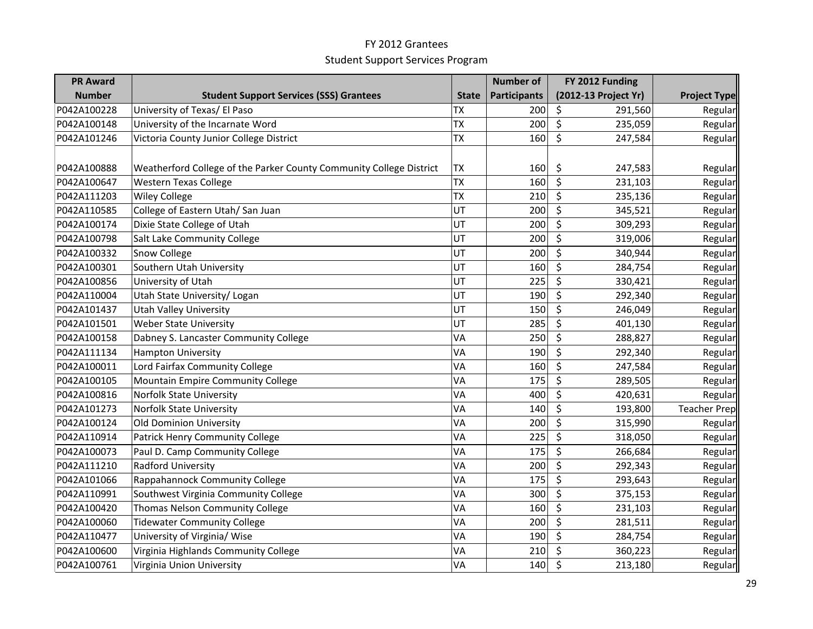| <b>PR Award</b> |                                                                     |              | <b>Number of</b>    | FY 2012 Funding                    |                     |
|-----------------|---------------------------------------------------------------------|--------------|---------------------|------------------------------------|---------------------|
| <b>Number</b>   | <b>Student Support Services (SSS) Grantees</b>                      | <b>State</b> | <b>Participants</b> | (2012-13 Project Yr)               | <b>Project Type</b> |
| P042A100228     | University of Texas/ El Paso                                        | <b>TX</b>    | 200                 | \$<br>291,560                      | Regular             |
| P042A100148     | University of the Incarnate Word                                    | <b>TX</b>    | 200                 | \$<br>235,059                      | Regular             |
| P042A101246     | Victoria County Junior College District                             | <b>TX</b>    | 160                 | $\overline{\mathsf{S}}$<br>247,584 | Regular             |
|                 |                                                                     |              |                     |                                    |                     |
| P042A100888     | Weatherford College of the Parker County Community College District | <b>TX</b>    | 160                 | \$<br>247,583                      | Regular             |
| P042A100647     | <b>Western Texas College</b>                                        | <b>TX</b>    | 160                 | \$<br>231,103                      | Regular             |
| P042A111203     | <b>Wiley College</b>                                                | <b>TX</b>    | 210                 | \$<br>235,136                      | Regular             |
| P042A110585     | College of Eastern Utah/ San Juan                                   | UT           | 200                 | \$<br>345,521                      | Regular             |
| P042A100174     | Dixie State College of Utah                                         | UT           | 200                 | \$<br>309,293                      | Regular             |
| P042A100798     | Salt Lake Community College                                         | UT           | 200                 | \$<br>319,006                      | Regular             |
| P042A100332     | <b>Snow College</b>                                                 | UT           | 200                 | \$<br>340,944                      | Regular             |
| P042A100301     | Southern Utah University                                            | UT           | 160                 | \$<br>284,754                      | Regular             |
| P042A100856     | University of Utah                                                  | UT           | 225                 | \$<br>330,421                      | Regular             |
| P042A110004     | Utah State University/ Logan                                        | UT           | 190                 | \$<br>292,340                      | Regular             |
| P042A101437     | <b>Utah Valley University</b>                                       | UT           | 150                 | \$<br>246,049                      | Regular             |
| P042A101501     | <b>Weber State University</b>                                       | UT           | 285                 | \$<br>401,130                      | Regular             |
| P042A100158     | Dabney S. Lancaster Community College                               | VA           | 250                 | \$<br>288,827                      | Regular             |
| P042A111134     | <b>Hampton University</b>                                           | VA           | 190                 | \$<br>292,340                      | Regular             |
| P042A100011     | Lord Fairfax Community College                                      | VA           | 160                 | \$<br>247,584                      | Regular             |
| P042A100105     | Mountain Empire Community College                                   | VA           | 175                 | \$<br>289,505                      | Regular             |
| P042A100816     | <b>Norfolk State University</b>                                     | VA           | 400                 | \$<br>420,631                      | Regular             |
| P042A101273     | <b>Norfolk State University</b>                                     | VA           | 140                 | \$<br>193,800                      | Teacher Prep        |
| P042A100124     | Old Dominion University                                             | VA           | 200                 | \$<br>315,990                      | Regular             |
| P042A110914     | Patrick Henry Community College                                     | VA           | 225                 | \$<br>318,050                      | Regular             |
| P042A100073     | Paul D. Camp Community College                                      | VA           | 175                 | \$<br>266,684                      | Regular             |
| P042A111210     | Radford University                                                  | VA           | 200                 | \$<br>292,343                      | Regular             |
| P042A101066     | Rappahannock Community College                                      | VA           | 175                 | \$<br>293,643                      | Regular             |
| P042A110991     | Southwest Virginia Community College                                | VA           | 300                 | \$<br>375,153                      | Regular             |
| P042A100420     | Thomas Nelson Community College                                     | VA           | 160                 | \$<br>231,103                      | Regular             |
| P042A100060     | <b>Tidewater Community College</b>                                  | VA           | 200                 | \$<br>281,511                      | Regular             |
| P042A110477     | University of Virginia/ Wise                                        | VA           | 190                 | \$<br>284,754                      | Regular             |
| P042A100600     | Virginia Highlands Community College                                | VA           | 210                 | \$<br>360,223                      | Regular             |
| P042A100761     | Virginia Union University                                           | VA           | 140                 | $\zeta$<br>213,180                 | Regular             |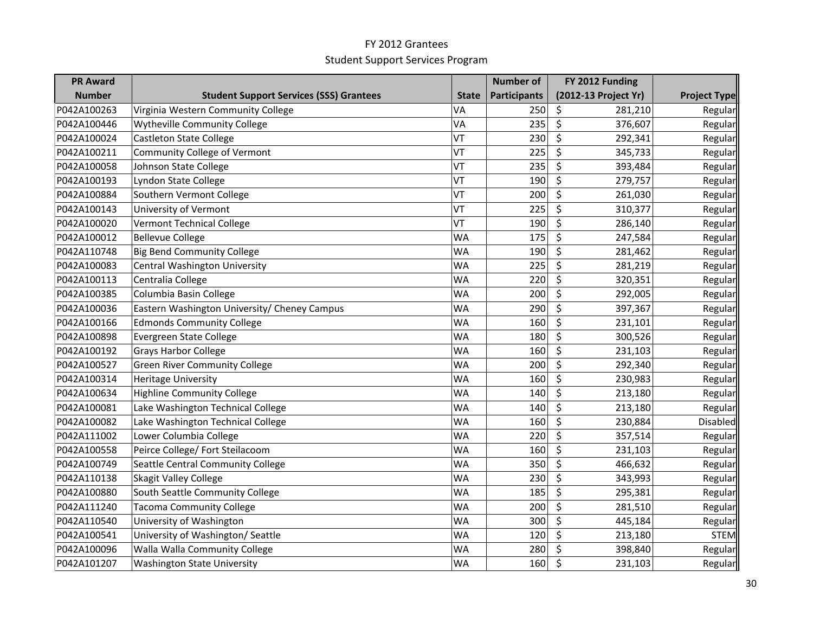| <b>PR Award</b> |                                                |              | <b>Number of</b>    | FY 2012 Funding      |                     |
|-----------------|------------------------------------------------|--------------|---------------------|----------------------|---------------------|
| <b>Number</b>   | <b>Student Support Services (SSS) Grantees</b> | <b>State</b> | <b>Participants</b> | (2012-13 Project Yr) | <b>Project Type</b> |
| P042A100263     | Virginia Western Community College             | VA           | 250                 | \$<br>281,210        | Regular             |
| P042A100446     | <b>Wytheville Community College</b>            | VA           | 235                 | \$<br>376,607        | Regular             |
| P042A100024     | <b>Castleton State College</b>                 | VT           | 230                 | \$<br>292,341        | Regular             |
| P042A100211     | <b>Community College of Vermont</b>            | VT           | 225                 | \$<br>345,733        | Regular             |
| P042A100058     | Johnson State College                          | VT           | 235                 | \$<br>393,484        | Regular             |
| P042A100193     | Lyndon State College                           | VT           | 190                 | \$<br>279,757        | Regular             |
| P042A100884     | Southern Vermont College                       | VT           | 200                 | \$<br>261,030        | Regular             |
| P042A100143     | University of Vermont                          | VT           | 225                 | \$<br>310,377        | Regular             |
| P042A100020     | <b>Vermont Technical College</b>               | VT           | 190                 | \$<br>286,140        | Regular             |
| P042A100012     | <b>Bellevue College</b>                        | <b>WA</b>    | 175                 | \$<br>247,584        | Regular             |
| P042A110748     | <b>Big Bend Community College</b>              | <b>WA</b>    | 190                 | \$<br>281,462        | Regular             |
| P042A100083     | Central Washington University                  | <b>WA</b>    | 225                 | \$<br>281,219        | Regular             |
| P042A100113     | Centralia College                              | <b>WA</b>    | 220                 | \$<br>320,351        | Regular             |
| P042A100385     | Columbia Basin College                         | <b>WA</b>    | 200                 | \$<br>292,005        | Regular             |
| P042A100036     | Eastern Washington University/ Cheney Campus   | <b>WA</b>    | 290                 | \$<br>397,367        | Regular             |
| P042A100166     | <b>Edmonds Community College</b>               | <b>WA</b>    | 160                 | \$<br>231,101        | Regular             |
| P042A100898     | Evergreen State College                        | <b>WA</b>    | 180                 | \$<br>300,526        | Regular             |
| P042A100192     | <b>Grays Harbor College</b>                    | <b>WA</b>    | 160                 | \$<br>231,103        | Regular             |
| P042A100527     | <b>Green River Community College</b>           | <b>WA</b>    | 200                 | \$<br>292,340        | Regular             |
| P042A100314     | <b>Heritage University</b>                     | <b>WA</b>    | 160                 | \$<br>230,983        | Regular             |
| P042A100634     | <b>Highline Community College</b>              | <b>WA</b>    | 140                 | \$<br>213,180        | Regular             |
| P042A100081     | Lake Washington Technical College              | <b>WA</b>    | 140                 | \$<br>213,180        | Regular             |
| P042A100082     | Lake Washington Technical College              | <b>WA</b>    | 160                 | \$<br>230,884        | Disabled            |
| P042A111002     | Lower Columbia College                         | <b>WA</b>    | 220                 | \$<br>357,514        | Regular             |
| P042A100558     | Peirce College/ Fort Steilacoom                | <b>WA</b>    | 160                 | \$<br>231,103        | Regular             |
| P042A100749     | Seattle Central Community College              | <b>WA</b>    | 350                 | \$<br>466,632        | Regular             |
| P042A110138     | Skagit Valley College                          | <b>WA</b>    | 230                 | \$<br>343,993        | Regular             |
| P042A100880     | South Seattle Community College                | <b>WA</b>    | 185                 | \$<br>295,381        | Regular             |
| P042A111240     | <b>Tacoma Community College</b>                | <b>WA</b>    | 200                 | \$<br>281,510        | Regular             |
| P042A110540     | University of Washington                       | <b>WA</b>    | 300                 | \$<br>445,184        | Regular             |
| P042A100541     | University of Washington/ Seattle              | <b>WA</b>    | 120                 | \$<br>213,180        | <b>STEM</b>         |
| P042A100096     | Walla Walla Community College                  | <b>WA</b>    | 280                 | \$<br>398,840        | Regular             |
| P042A101207     | <b>Washington State University</b>             | <b>WA</b>    | 160                 | \$<br>231,103        | Regular             |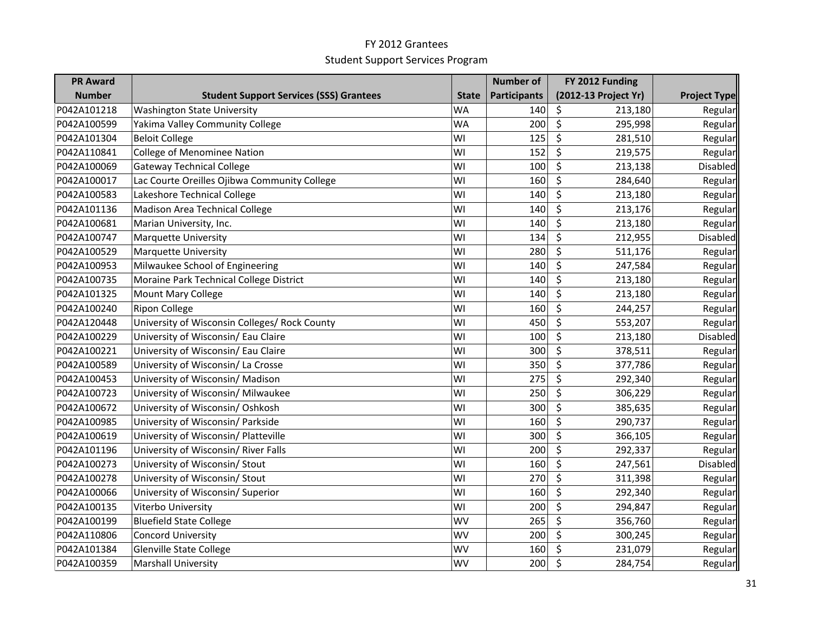| <b>PR Award</b> |                                                |              | <b>Number of</b> | FY 2012 Funding                    |                     |
|-----------------|------------------------------------------------|--------------|------------------|------------------------------------|---------------------|
| <b>Number</b>   | <b>Student Support Services (SSS) Grantees</b> | <b>State</b> | Participants     | (2012-13 Project Yr)               | <b>Project Type</b> |
| P042A101218     | <b>Washington State University</b>             | <b>WA</b>    | 140              | \$<br>213,180                      | Regular             |
| P042A100599     | Yakima Valley Community College                | <b>WA</b>    | 200              | \$<br>295,998                      | Regular             |
| P042A101304     | <b>Beloit College</b>                          | WI           | 125              | \$<br>281,510                      | Regular             |
| P042A110841     | College of Menominee Nation                    | WI           | 152              | \$<br>219,575                      | Regular             |
| P042A100069     | <b>Gateway Technical College</b>               | WI           | 100              | \$<br>213,138                      | Disabled            |
| P042A100017     | Lac Courte Oreilles Ojibwa Community College   | WI           | 160              | \$<br>284,640                      | Regular             |
| P042A100583     | Lakeshore Technical College                    | WI           | 140              | \$<br>213,180                      | Regular             |
| P042A101136     | Madison Area Technical College                 | WI           | 140              | \$<br>213,176                      | Regular             |
| P042A100681     | Marian University, Inc.                        | WI           | 140              | \$<br>213,180                      | Regular             |
| P042A100747     | <b>Marquette University</b>                    | WI           | 134              | \$<br>212,955                      | Disabled            |
| P042A100529     | <b>Marquette University</b>                    | WI           | 280              | \$<br>511,176                      | Regular             |
| P042A100953     | Milwaukee School of Engineering                | WI           | 140              | \$<br>247,584                      | Regular             |
| P042A100735     | Moraine Park Technical College District        | WI           | 140              | \$<br>213,180                      | Regular             |
| P042A101325     | <b>Mount Mary College</b>                      | WI           | 140              | \$<br>213,180                      | Regular             |
| P042A100240     | <b>Ripon College</b>                           | WI           | 160              | \$<br>244,257                      | Regular             |
| P042A120448     | University of Wisconsin Colleges/ Rock County  | WI           | 450              | \$<br>553,207                      | Regular             |
| P042A100229     | University of Wisconsin/ Eau Claire            | WI           | 100              | \$<br>213,180                      | Disabled            |
| P042A100221     | University of Wisconsin/ Eau Claire            | WI           | 300              | \$<br>378,511                      | Regular             |
| P042A100589     | University of Wisconsin/La Crosse              | WI           | 350              | \$<br>377,786                      | Regular             |
| P042A100453     | University of Wisconsin/ Madison               | WI           | 275              | \$<br>292,340                      | Regular             |
| P042A100723     | University of Wisconsin/ Milwaukee             | WI           | 250              | \$<br>306,229                      | Regular             |
| P042A100672     | University of Wisconsin/ Oshkosh               | WI           | 300              | \$<br>385,635                      | Regular             |
| P042A100985     | University of Wisconsin/ Parkside              | WI           | 160              | \$<br>290,737                      | Regular             |
| P042A100619     | University of Wisconsin/ Platteville           | WI           | 300              | $\overline{\mathsf{S}}$<br>366,105 | Regular             |
| P042A101196     | University of Wisconsin/ River Falls           | WI           | 200              | \$<br>292,337                      | Regular             |
| P042A100273     | University of Wisconsin/ Stout                 | WI           | 160              | \$<br>247,561                      | Disabled            |
| P042A100278     | University of Wisconsin/ Stout                 | WI           | 270              | \$<br>311,398                      | Regular             |
| P042A100066     | University of Wisconsin/ Superior              | WI           | 160              | \$<br>292,340                      | Regular             |
| P042A100135     | Viterbo University                             | WI           | 200              | \$<br>294,847                      | Regular             |
| P042A100199     | <b>Bluefield State College</b>                 | <b>WV</b>    | 265              | \$<br>356,760                      | Regular             |
| P042A110806     | <b>Concord University</b>                      | <b>WV</b>    | 200              | \$<br>300,245                      | Regular             |
| P042A101384     | Glenville State College                        | WV           | 160              | \$<br>231,079                      | Regular             |
| P042A100359     | <b>Marshall University</b>                     | <b>WV</b>    | 200              | \$<br>284,754                      | Regular             |